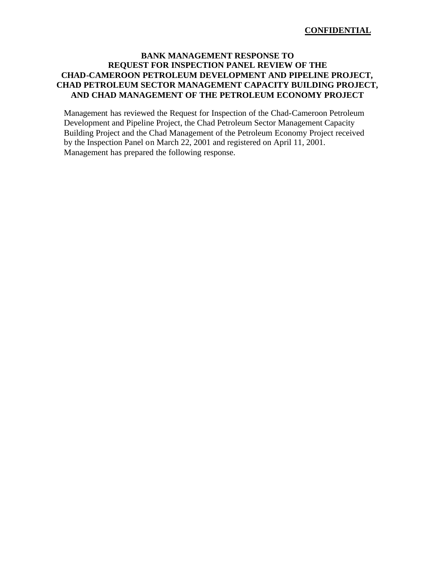# **BANK MANAGEMENT RESPONSE TO REQUEST FOR INSPECTION PANEL REVIEW OF THE CHAD-CAMEROON PETROLEUM DEVELOPMENT AND PIPELINE PROJECT, CHAD PETROLEUM SECTOR MANAGEMENT CAPACITY BUILDING PROJECT, AND CHAD MANAGEMENT OF THE PETROLEUM ECONOMY PROJECT**

Management has reviewed the Request for Inspection of the Chad-Cameroon Petroleum Development and Pipeline Project, the Chad Petroleum Sector Management Capacity Building Project and the Chad Management of the Petroleum Economy Project received by the Inspection Panel on March 22, 2001 and registered on April 11, 2001. Management has prepared the following response.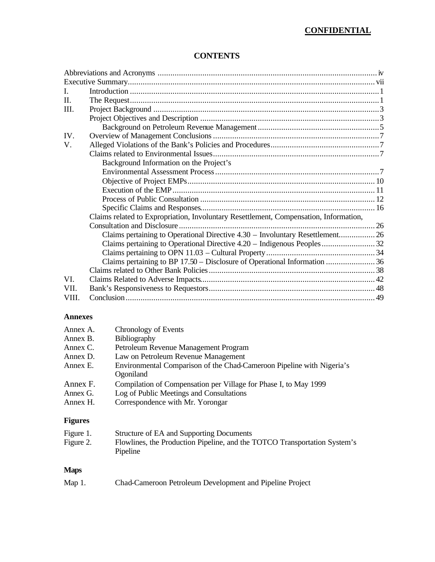# **CONFIDENTIAL**

# **CONTENTS**

| Background Information on the Project's<br>Claims related to Expropriation, Involuntary Resettlement, Compensation, Information,<br>Claims pertaining to Operational Directive 4.30 - Involuntary Resettlement 26<br>Claims pertaining to BP 17.50 – Disclosure of Operational Information  36 |
|------------------------------------------------------------------------------------------------------------------------------------------------------------------------------------------------------------------------------------------------------------------------------------------------|

### **Annexes**

| Annex A. | Chronology of Events                                                               |
|----------|------------------------------------------------------------------------------------|
| Annex B. | Bibliography                                                                       |
| Annex C. | Petroleum Revenue Management Program                                               |
| Annex D. | Law on Petroleum Revenue Management                                                |
| Annex E. | Environmental Comparison of the Chad-Cameroon Pipeline with Nigeria's<br>Ogoniland |
| Annex F. | Compilation of Compensation per Village for Phase I, to May 1999                   |
| Annex G. | Log of Public Meetings and Consultations                                           |
| Annex H. | Correspondence with Mr. Yorongar                                                   |

# **Figures**

| Figure 1. | Structure of EA and Supporting Documents                                  |
|-----------|---------------------------------------------------------------------------|
| Figure 2. | Flowlines, the Production Pipeline, and the TOTCO Transportation System's |
|           | Pipeline                                                                  |

# **Maps**

| Map $1$ . | Chad-Cameroon Petroleum Development and Pipeline Project |  |  |  |  |
|-----------|----------------------------------------------------------|--|--|--|--|
|-----------|----------------------------------------------------------|--|--|--|--|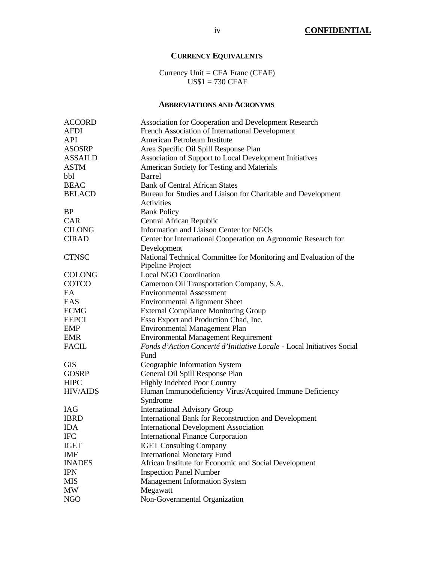# **CURRENCY EQUIVALENTS**

Currency Unit = CFA Franc (CFAF) US\$1 = 730 CFAF

## **ABBREVIATIONS AND ACRONYMS**

| <b>ACCORD</b>   | Association for Cooperation and Development Research                   |
|-----------------|------------------------------------------------------------------------|
| <b>AFDI</b>     | French Association of International Development                        |
| API             | American Petroleum Institute                                           |
| <b>ASOSRP</b>   | Area Specific Oil Spill Response Plan                                  |
| <b>ASSAILD</b>  | Association of Support to Local Development Initiatives                |
| <b>ASTM</b>     | American Society for Testing and Materials                             |
| bbl             | Barrel                                                                 |
| <b>BEAC</b>     | <b>Bank of Central African States</b>                                  |
| <b>BELACD</b>   | Bureau for Studies and Liaison for Charitable and Development          |
|                 | Activities                                                             |
| <b>BP</b>       | <b>Bank Policy</b>                                                     |
| <b>CAR</b>      | Central African Republic                                               |
| <b>CILONG</b>   | Information and Liaison Center for NGOs                                |
| <b>CIRAD</b>    | Center for International Cooperation on Agronomic Research for         |
|                 | Development                                                            |
| <b>CTNSC</b>    | National Technical Committee for Monitoring and Evaluation of the      |
|                 | Pipeline Project                                                       |
| <b>COLONG</b>   | <b>Local NGO Coordination</b>                                          |
| COTCO           | Cameroon Oil Transportation Company, S.A.                              |
| EA              | <b>Environmental Assessment</b>                                        |
| EAS             | <b>Environmental Alignment Sheet</b>                                   |
| <b>ECMG</b>     | <b>External Compliance Monitoring Group</b>                            |
| <b>EEPCI</b>    | Esso Export and Production Chad, Inc.                                  |
| <b>EMP</b>      | <b>Environmental Management Plan</b>                                   |
| EMR             | <b>Environmental Management Requirement</b>                            |
| <b>FACIL</b>    | Fonds d'Action Concerté d'Initiative Locale - Local Initiatives Social |
|                 | Fund                                                                   |
| <b>GIS</b>      | Geographic Information System                                          |
| <b>GOSRP</b>    | General Oil Spill Response Plan                                        |
| <b>HIPC</b>     | <b>Highly Indebted Poor Country</b>                                    |
| <b>HIV/AIDS</b> | Human Immunodeficiency Virus/Acquired Immune Deficiency                |
|                 | Syndrome                                                               |
| <b>IAG</b>      | <b>International Advisory Group</b>                                    |
| <b>IBRD</b>     | International Bank for Reconstruction and Development                  |
| <b>IDA</b>      | <b>International Development Association</b>                           |
| <b>IFC</b>      | <b>International Finance Corporation</b>                               |
| <b>IGET</b>     | <b>IGET Consulting Company</b>                                         |
| <b>IMF</b>      | <b>International Monetary Fund</b>                                     |
| <b>INADES</b>   | African Institute for Economic and Social Development                  |
| <b>IPN</b>      | <b>Inspection Panel Number</b>                                         |
| <b>MIS</b>      | <b>Management Information System</b>                                   |
| <b>MW</b>       | Megawatt                                                               |
| <b>NGO</b>      | Non-Governmental Organization                                          |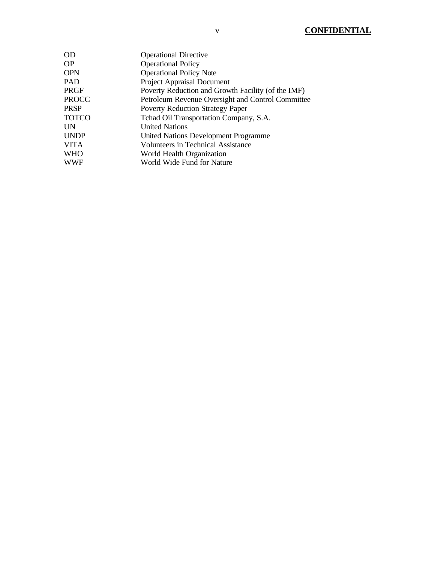| OD          | <b>Operational Directive</b>                       |
|-------------|----------------------------------------------------|
| OР          | <b>Operational Policy</b>                          |
| <b>OPN</b>  | <b>Operational Policy Note</b>                     |
| PAD         | Project Appraisal Document                         |
| PRGF        | Poverty Reduction and Growth Facility (of the IMF) |
| PROCC       | Petroleum Revenue Oversight and Control Committee  |
| PRSP        | <b>Poverty Reduction Strategy Paper</b>            |
| TOTCO       | Tchad Oil Transportation Company, S.A.             |
| UN          | <b>United Nations</b>                              |
| <b>UNDP</b> | United Nations Development Programme               |
| VITA        | <b>Volunteers in Technical Assistance</b>          |
| WHO         | World Health Organization                          |
| WWF         | World Wide Fund for Nature                         |
|             |                                                    |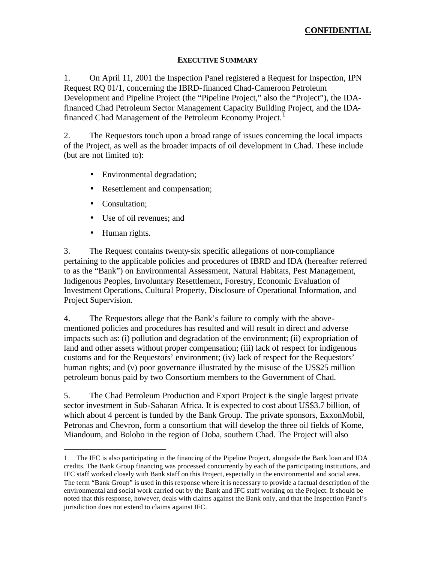# **EXECUTIVE SUMMARY**

1. On April 11, 2001 the Inspection Panel registered a Request for Inspection, IPN Request RQ 01/1, concerning the IBRD-financed Chad-Cameroon Petroleum Development and Pipeline Project (the "Pipeline Project," also the "Project"), the IDAfinanced Chad Petroleum Sector Management Capacity Building Project, and the IDAfinanced Chad Management of the Petroleum Economy Project.<sup>1</sup>

2. The Requestors touch upon a broad range of issues concerning the local impacts of the Project, as well as the broader impacts of oil development in Chad. These include (but are not limited to):

- Environmental degradation;
- Resettlement and compensation;
- Consultation:
- Use of oil revenues; and
- Human rights.

 $\overline{a}$ 

3. The Request contains twenty-six specific allegations of non-compliance pertaining to the applicable policies and procedures of IBRD and IDA (hereafter referred to as the "Bank") on Environmental Assessment, Natural Habitats, Pest Management, Indigenous Peoples, Involuntary Resettlement, Forestry, Economic Evaluation of Investment Operations, Cultural Property, Disclosure of Operational Information, and Project Supervision.

4. The Requestors allege that the Bank's failure to comply with the abovementioned policies and procedures has resulted and will result in direct and adverse impacts such as: (i) pollution and degradation of the environment; (ii) expropriation of land and other assets without proper compensation; (iii) lack of respect for indigenous customs and for the Requestors' environment; (iv) lack of respect for the Requestors' human rights; and (v) poor governance illustrated by the misuse of the US\$25 million petroleum bonus paid by two Consortium members to the Government of Chad.

5. The Chad Petroleum Production and Export Project is the single largest private sector investment in Sub-Saharan Africa. It is expected to cost about US\$3.7 billion, of which about 4 percent is funded by the Bank Group. The private sponsors, ExxonMobil, Petronas and Chevron, form a consortium that will develop the three oil fields of Kome, Miandoum, and Bolobo in the region of Doba, southern Chad. The Project will also

<sup>1</sup> The IFC is also participating in the financing of the Pipeline Project, alongside the Bank loan and IDA credits. The Bank Group financing was processed concurrently by each of the participating institutions, and IFC staff worked closely with Bank staff on this Project, especially in the environmental and social area. The term "Bank Group" is used in this response where it is necessary to provide a factual description of the environmental and social work carried out by the Bank and IFC staff working on the Project. It should be noted that this response, however, deals with claims against the Bank only, and that the Inspection Panel's jurisdiction does not extend to claims against IFC.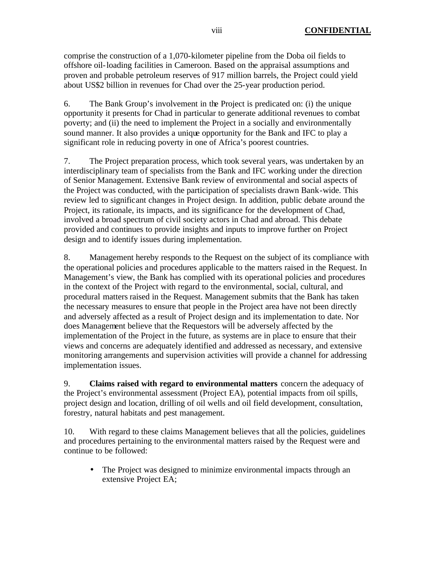comprise the construction of a 1,070-kilometer pipeline from the Doba oil fields to offshore oil-loading facilities in Cameroon. Based on the appraisal assumptions and proven and probable petroleum reserves of 917 million barrels, the Project could yield about US\$2 billion in revenues for Chad over the 25-year production period.

6. The Bank Group's involvement in the Project is predicated on: (i) the unique opportunity it presents for Chad in particular to generate additional revenues to combat poverty; and (ii) the need to implement the Project in a socially and environmentally sound manner. It also provides a unique opportunity for the Bank and IFC to play a significant role in reducing poverty in one of Africa's poorest countries.

7. The Project preparation process, which took several years, was undertaken by an interdisciplinary team of specialists from the Bank and IFC working under the direction of Senior Management. Extensive Bank review of environmental and social aspects of the Project was conducted, with the participation of specialists drawn Bank-wide. This review led to significant changes in Project design. In addition, public debate around the Project, its rationale, its impacts, and its significance for the development of Chad, involved a broad spectrum of civil society actors in Chad and abroad. This debate provided and continues to provide insights and inputs to improve further on Project design and to identify issues during implementation.

8. Management hereby responds to the Request on the subject of its compliance with the operational policies and procedures applicable to the matters raised in the Request. In Management's view, the Bank has complied with its operational policies and procedures in the context of the Project with regard to the environmental, social, cultural, and procedural matters raised in the Request. Management submits that the Bank has taken the necessary measures to ensure that people in the Project area have not been directly and adversely affected as a result of Project design and its implementation to date. Nor does Management believe that the Requestors will be adversely affected by the implementation of the Project in the future, as systems are in place to ensure that their views and concerns are adequately identified and addressed as necessary, and extensive monitoring arrangements and supervision activities will provide a channel for addressing implementation issues.

9. **Claims raised with regard to environmental matters** concern the adequacy of the Project's environmental assessment (Project EA), potential impacts from oil spills, project design and location, drilling of oil wells and oil field development, consultation, forestry, natural habitats and pest management.

10. With regard to these claims Management believes that all the policies, guidelines and procedures pertaining to the environmental matters raised by the Request were and continue to be followed:

• The Project was designed to minimize environmental impacts through an extensive Project EA;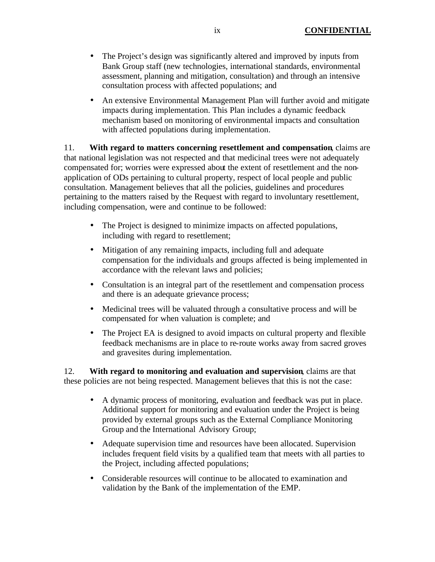- The Project's design was significantly altered and improved by inputs from Bank Group staff (new technologies, international standards, environmental assessment, planning and mitigation, consultation) and through an intensive consultation process with affected populations; and
- An extensive Environmental Management Plan will further avoid and mitigate impacts during implementation. This Plan includes a dynamic feedback mechanism based on monitoring of environmental impacts and consultation with affected populations during implementation.

11. **With regard to matters concerning resettlement and compensation**, claims are that national legislation was not respected and that medicinal trees were not adequately compensated for; worries were expressed about the extent of resettlement and the nonapplication of ODs pertaining to cultural property, respect of local people and public consultation. Management believes that all the policies, guidelines and procedures pertaining to the matters raised by the Request with regard to involuntary resettlement, including compensation, were and continue to be followed:

- The Project is designed to minimize impacts on affected populations, including with regard to resettlement;
- Mitigation of any remaining impacts, including full and adequate compensation for the individuals and groups affected is being implemented in accordance with the relevant laws and policies;
- Consultation is an integral part of the resettlement and compensation process and there is an adequate grievance process;
- Medicinal trees will be valuated through a consultative process and will be compensated for when valuation is complete; and
- The Project EA is designed to avoid impacts on cultural property and flexible feedback mechanisms are in place to re-route works away from sacred groves and gravesites during implementation.

12. **With regard to monitoring and evaluation and supervision**, claims are that these policies are not being respected. Management believes that this is not the case:

- A dynamic process of monitoring, evaluation and feedback was put in place. Additional support for monitoring and evaluation under the Project is being provided by external groups such as the External Compliance Monitoring Group and the International Advisory Group;
- Adequate supervision time and resources have been allocated. Supervision includes frequent field visits by a qualified team that meets with all parties to the Project, including affected populations;
- Considerable resources will continue to be allocated to examination and validation by the Bank of the implementation of the EMP.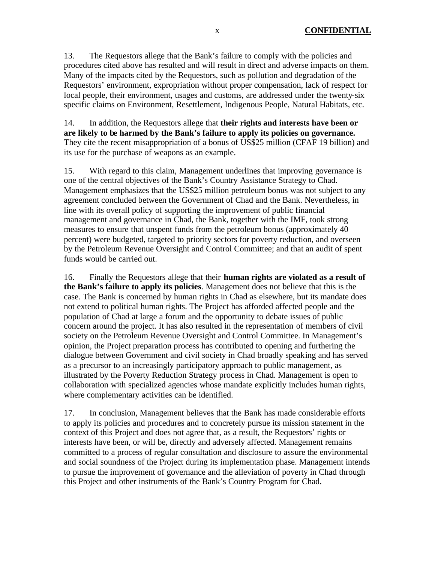13. The Requestors allege that the Bank's failure to comply with the policies and procedures cited above has resulted and will result in direct and adverse impacts on them. Many of the impacts cited by the Requestors, such as pollution and degradation of the Requestors' environment, expropriation without proper compensation, lack of respect for local people, their environment, usages and customs, are addressed under the twenty-six specific claims on Environment, Resettlement, Indigenous People, Natural Habitats, etc.

14. In addition, the Requestors allege that **their rights and interests have been or are likely to be harmed by the Bank's failure to apply its policies on governance.**  They cite the recent misappropriation of a bonus of US\$25 million (CFAF 19 billion) and its use for the purchase of weapons as an example.

15. With regard to this claim, Management underlines that improving governance is one of the central objectives of the Bank's Country Assistance Strategy to Chad. Management emphasizes that the US\$25 million petroleum bonus was not subject to any agreement concluded between the Government of Chad and the Bank. Nevertheless, in line with its overall policy of supporting the improvement of public financial management and governance in Chad, the Bank, together with the IMF, took strong measures to ensure that unspent funds from the petroleum bonus (approximately 40 percent) were budgeted, targeted to priority sectors for poverty reduction, and overseen by the Petroleum Revenue Oversight and Control Committee; and that an audit of spent funds would be carried out.

16. Finally the Requestors allege that their **human rights are violated as a result of the Bank's failure to apply its policies**. Management does not believe that this is the case. The Bank is concerned by human rights in Chad as elsewhere, but its mandate does not extend to political human rights. The Project has afforded affected people and the population of Chad at large a forum and the opportunity to debate issues of public concern around the project. It has also resulted in the representation of members of civil society on the Petroleum Revenue Oversight and Control Committee. In Management's opinion, the Project preparation process has contributed to opening and furthering the dialogue between Government and civil society in Chad broadly speaking and has served as a precursor to an increasingly participatory approach to public management, as illustrated by the Poverty Reduction Strategy process in Chad. Management is open to collaboration with specialized agencies whose mandate explicitly includes human rights, where complementary activities can be identified.

17. In conclusion, Management believes that the Bank has made considerable efforts to apply its policies and procedures and to concretely pursue its mission statement in the context of this Project and does not agree that, as a result, the Requestors' rights or interests have been, or will be, directly and adversely affected. Management remains committed to a process of regular consultation and disclosure to assure the environmental and social soundness of the Project during its implementation phase. Management intends to pursue the improvement of governance and the alleviation of poverty in Chad through this Project and other instruments of the Bank's Country Program for Chad.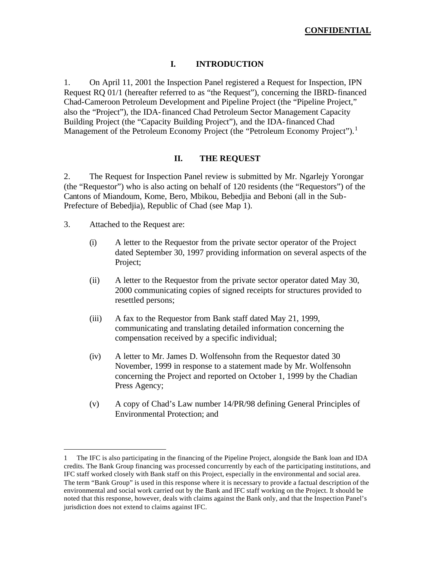# **I. INTRODUCTION**

1. On April 11, 2001 the Inspection Panel registered a Request for Inspection, IPN Request RQ 01/1 (hereafter referred to as "the Request"), concerning the IBRD-financed Chad-Cameroon Petroleum Development and Pipeline Project (the "Pipeline Project," also the "Project"), the IDA-financed Chad Petroleum Sector Management Capacity Building Project (the "Capacity Building Project"), and the IDA-financed Chad Management of the Petroleum Economy Project (the "Petroleum Economy Project").<sup>1</sup>

## **II. THE REQUEST**

2. The Request for Inspection Panel review is submitted by Mr. Ngarlejy Yorongar (the "Requestor") who is also acting on behalf of 120 residents (the "Requestors") of the Cantons of Miandoum, Kome, Bero, Mbikou, Bebedjia and Beboni (all in the Sub-Prefecture of Bebedjia), Republic of Chad (see Map 1).

3. Attached to the Request are:

- (i) A letter to the Requestor from the private sector operator of the Project dated September 30, 1997 providing information on several aspects of the Project;
- (ii) A letter to the Requestor from the private sector operator dated May 30, 2000 communicating copies of signed receipts for structures provided to resettled persons;
- (iii) A fax to the Requestor from Bank staff dated May 21, 1999, communicating and translating detailed information concerning the compensation received by a specific individual;
- (iv) A letter to Mr. James D. Wolfensohn from the Requestor dated 30 November, 1999 in response to a statement made by Mr. Wolfensohn concerning the Project and reported on October 1, 1999 by the Chadian Press Agency;
- (v) A copy of Chad's Law number 14/PR/98 defining General Principles of Environmental Protection; and

<sup>1</sup> The IFC is also participating in the financing of the Pipeline Project, alongside the Bank loan and IDA credits. The Bank Group financing was processed concurrently by each of the participating institutions, and IFC staff worked closely with Bank staff on this Project, especially in the environmental and social area. The term "Bank Group" is used in this response where it is necessary to provide a factual description of the environmental and social work carried out by the Bank and IFC staff working on the Project. It should be noted that this response, however, deals with claims against the Bank only, and that the Inspection Panel's jurisdiction does not extend to claims against IFC.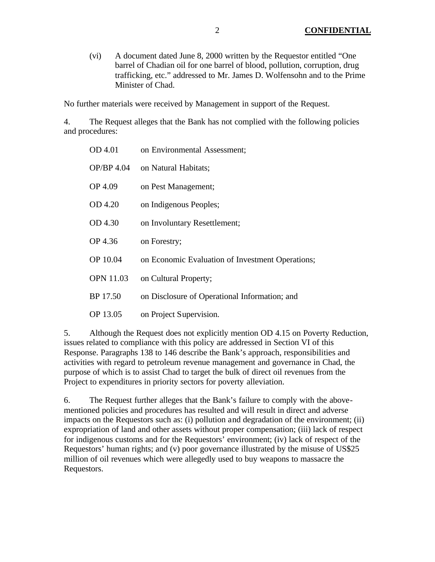(vi) A document dated June 8, 2000 written by the Requestor entitled "One barrel of Chadian oil for one barrel of blood, pollution, corruption, drug trafficking, etc." addressed to Mr. James D. Wolfensohn and to the Prime Minister of Chad.

No further materials were received by Management in support of the Request.

4. The Request alleges that the Bank has not complied with the following policies and procedures:

| OD 4.01          | on Environmental Assessment;                     |
|------------------|--------------------------------------------------|
| OP/BP 4.04       | on Natural Habitats;                             |
| OP 4.09          | on Pest Management;                              |
| OD 4.20          | on Indigenous Peoples;                           |
| OD 4.30          | on Involuntary Resettlement;                     |
| OP 4.36          | on Forestry;                                     |
| OP 10.04         | on Economic Evaluation of Investment Operations; |
| <b>OPN 11.03</b> | on Cultural Property;                            |
| BP 17.50         | on Disclosure of Operational Information; and    |
| OP 13.05         | on Project Supervision.                          |

5. Although the Request does not explicitly mention OD 4.15 on Poverty Reduction, issues related to compliance with this policy are addressed in Section VI of this Response. Paragraphs 138 to 146 describe the Bank's approach, responsibilities and activities with regard to petroleum revenue management and governance in Chad, the purpose of which is to assist Chad to target the bulk of direct oil revenues from the Project to expenditures in priority sectors for poverty alleviation.

6. The Request further alleges that the Bank's failure to comply with the abovementioned policies and procedures has resulted and will result in direct and adverse impacts on the Requestors such as: (i) pollution and degradation of the environment; (ii) expropriation of land and other assets without proper compensation; (iii) lack of respect for indigenous customs and for the Requestors' environment; (iv) lack of respect of the Requestors' human rights; and (v) poor governance illustrated by the misuse of US\$25 million of oil revenues which were allegedly used to buy weapons to massacre the Requestors.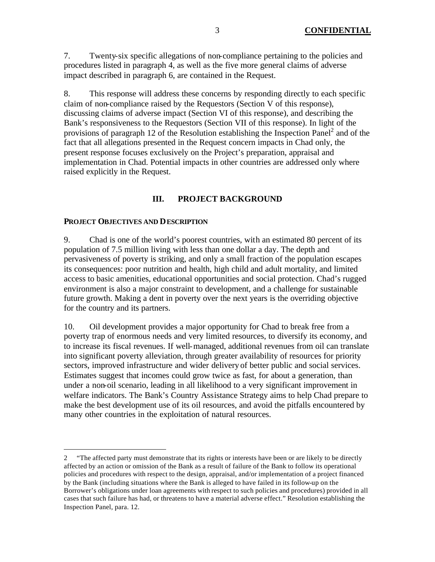7. Twenty-six specific allegations of non-compliance pertaining to the policies and procedures listed in paragraph 4, as well as the five more general claims of adverse impact described in paragraph 6, are contained in the Request.

8. This response will address these concerns by responding directly to each specific claim of non-compliance raised by the Requestors (Section V of this response), discussing claims of adverse impact (Section VI of this response), and describing the Bank's responsiveness to the Requestors (Section VII of this response). In light of the provisions of paragraph 12 of the Resolution establishing the Inspection Panel $^2$  and of the fact that all allegations presented in the Request concern impacts in Chad only, the present response focuses exclusively on the Project's preparation, appraisal and implementation in Chad. Potential impacts in other countries are addressed only where raised explicitly in the Request.

# **III. PROJECT BACKGROUND**

#### **PROJECT OBJECTIVES AND DESCRIPTION**

 $\overline{a}$ 

9. Chad is one of the world's poorest countries, with an estimated 80 percent of its population of 7.5 million living with less than one dollar a day. The depth and pervasiveness of poverty is striking, and only a small fraction of the population escapes its consequences: poor nutrition and health, high child and adult mortality, and limited access to basic amenities, educational opportunities and social protection. Chad's rugged environment is also a major constraint to development, and a challenge for sustainable future growth. Making a dent in poverty over the next years is the overriding objective for the country and its partners.

10. Oil development provides a major opportunity for Chad to break free from a poverty trap of enormous needs and very limited resources, to diversify its economy, and to increase its fiscal revenues. If well-managed, additional revenues from oil can translate into significant poverty alleviation, through greater availability of resources for priority sectors, improved infrastructure and wider delivery of better public and social services. Estimates suggest that incomes could grow twice as fast, for about a generation, than under a non-oil scenario, leading in all likelihood to a very significant improvement in welfare indicators. The Bank's Country Assistance Strategy aims to help Chad prepare to make the best development use of its oil resources, and avoid the pitfalls encountered by many other countries in the exploitation of natural resources.

<sup>2</sup> "The affected party must demonstrate that its rights or interests have been or are likely to be directly affected by an action or omission of the Bank as a result of failure of the Bank to follow its operational policies and procedures with respect to the design, appraisal, and/or implementation of a project financed by the Bank (including situations where the Bank is alleged to have failed in its follow-up on the Borrower's obligations under loan agreements with respect to such policies and procedures) provided in all cases that such failure has had, or threatens to have a material adverse effect." Resolution establishing the Inspection Panel, para. 12.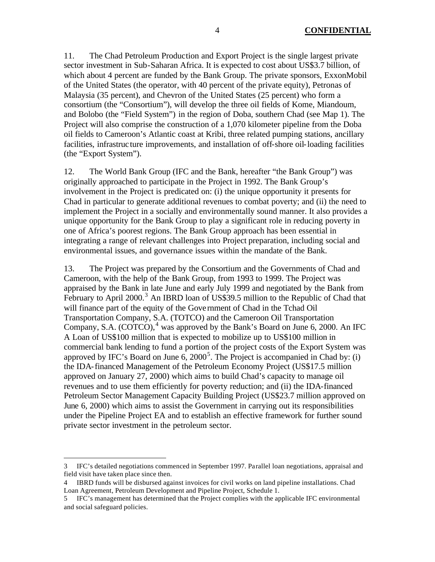11. The Chad Petroleum Production and Export Project is the single largest private sector investment in Sub-Saharan Africa. It is expected to cost about US\$3.7 billion, of which about 4 percent are funded by the Bank Group. The private sponsors, ExxonMobil of the United States (the operator, with 40 percent of the private equity), Petronas of Malaysia (35 percent), and Chevron of the United States (25 percent) who form a consortium (the "Consortium"), will develop the three oil fields of Kome, Miandoum, and Bolobo (the "Field System") in the region of Doba, southern Chad (see Map 1). The Project will also comprise the construction of a 1,070 kilometer pipeline from the Doba oil fields to Cameroon's Atlantic coast at Kribi, three related pumping stations, ancillary facilities, infrastruc ture improvements, and installation of off-shore oil-loading facilities (the "Export System").

12. The World Bank Group (IFC and the Bank, hereafter "the Bank Group") was originally approached to participate in the Project in 1992. The Bank Group's involvement in the Project is predicated on: (i) the unique opportunity it presents for Chad in particular to generate additional revenues to combat poverty; and (ii) the need to implement the Project in a socially and environmentally sound manner. It also provides a unique opportunity for the Bank Group to play a significant role in reducing poverty in one of Africa's poorest regions. The Bank Group approach has been essential in integrating a range of relevant challenges into Project preparation, including social and environmental issues, and governance issues within the mandate of the Bank.

13. The Project was prepared by the Consortium and the Governments of Chad and Cameroon, with the help of the Bank Group, from 1993 to 1999. The Project was appraised by the Bank in late June and early July 1999 and negotiated by the Bank from February to April 2000.<sup>3</sup> An IBRD loan of US\$39.5 million to the Republic of Chad that will finance part of the equity of the Gove rnment of Chad in the Tchad Oil Transportation Company, S.A. (TOTCO) and the Cameroon Oil Transportation Company, S.A.  $(COTCO)$ , <sup>4</sup> was approved by the Bank's Board on June 6, 2000. An IFC A Loan of US\$100 million that is expected to mobilize up to US\$100 million in commercial bank lending to fund a portion of the project costs of the Export System was approved by IFC's Board on June  $6, 2000^5$ . The Project is accompanied in Chad by: (i) the IDA-financed Management of the Petroleum Economy Project (US\$17.5 million approved on January 27, 2000) which aims to build Chad's capacity to manage oil revenues and to use them efficiently for poverty reduction; and (ii) the IDA-financed Petroleum Sector Management Capacity Building Project (US\$23.7 million approved on June 6, 2000) which aims to assist the Government in carrying out its responsibilities under the Pipeline Project EA and to establish an effective framework for further sound private sector investment in the petroleum sector.

<sup>3</sup> IFC's detailed negotiations commenced in September 1997. Parallel loan negotiations, appraisal and field visit have taken place since then.

<sup>4</sup> IBRD funds will be disbursed against invoices for civil works on land pipeline installations. Chad Loan Agreement, Petroleum Development and Pipeline Project, Schedule 1.

<sup>5</sup> IFC's management has determined that the Project complies with the applicable IFC environmental and social safeguard policies.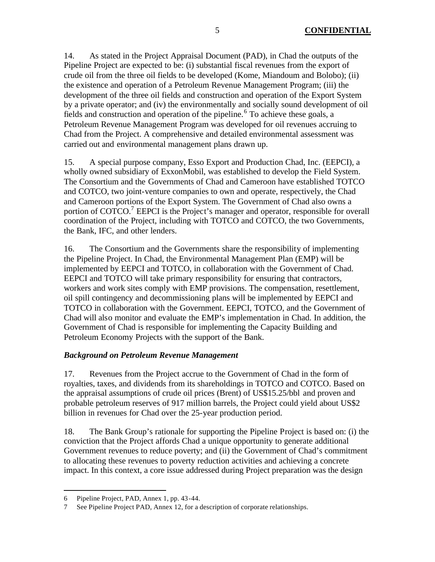14. As stated in the Project Appraisal Document (PAD), in Chad the outputs of the Pipeline Project are expected to be: (i) substantial fiscal revenues from the export of crude oil from the three oil fields to be developed (Kome, Miandoum and Bolobo); (ii) the existence and operation of a Petroleum Revenue Management Program; (iii) the development of the three oil fields and construction and operation of the Export System by a private operator; and (iv) the environmentally and socially sound development of oil fields and construction and operation of the pipeline.<sup>6</sup> To achieve these goals, a Petroleum Revenue Management Program was developed for oil revenues accruing to Chad from the Project. A comprehensive and detailed environmental assessment was carried out and environmental management plans drawn up.

15. A special purpose company, Esso Export and Production Chad, Inc. (EEPCI), a wholly owned subsidiary of ExxonMobil, was established to develop the Field System. The Consortium and the Governments of Chad and Cameroon have established TOTCO and COTCO, two joint-venture companies to own and operate, respectively, the Chad and Cameroon portions of the Export System. The Government of Chad also owns a portion of  $\text{COTCO.}^7$  EEPCI is the Project's manager and operator, responsible for overall coordination of the Project, including with TOTCO and COTCO, the two Governments, the Bank, IFC, and other lenders.

16. The Consortium and the Governments share the responsibility of implementing the Pipeline Project. In Chad, the Environmental Management Plan (EMP) will be implemented by EEPCI and TOTCO, in collaboration with the Government of Chad. EEPCI and TOTCO will take primary responsibility for ensuring that contractors, workers and work sites comply with EMP provisions. The compensation, resettlement, oil spill contingency and decommissioning plans will be implemented by EEPCI and TOTCO in collaboration with the Government. EEPCI, TOTCO, and the Government of Chad will also monitor and evaluate the EMP's implementation in Chad. In addition, the Government of Chad is responsible for implementing the Capacity Building and Petroleum Economy Projects with the support of the Bank.

# *Background on Petroleum Revenue Management*

17. Revenues from the Project accrue to the Government of Chad in the form of royalties, taxes, and dividends from its shareholdings in TOTCO and COTCO. Based on the appraisal assumptions of crude oil prices (Brent) of US\$15.25/bbl and proven and probable petroleum reserves of 917 million barrels, the Project could yield about US\$2 billion in revenues for Chad over the 25-year production period.

18. The Bank Group's rationale for supporting the Pipeline Project is based on: (i) the conviction that the Project affords Chad a unique opportunity to generate additional Government revenues to reduce poverty; and (ii) the Government of Chad's commitment to allocating these revenues to poverty reduction activities and achieving a concrete impact. In this context, a core issue addressed during Project preparation was the design

<sup>6</sup> Pipeline Project, PAD, Annex 1, pp. 43-44.

<sup>7</sup> See Pipeline Project PAD, Annex 12, for a description of corporate relationships.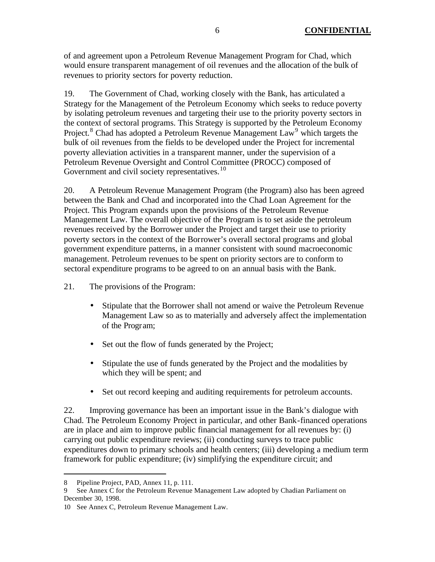of and agreement upon a Petroleum Revenue Management Program for Chad, which would ensure transparent management of oil revenues and the allocation of the bulk of revenues to priority sectors for poverty reduction.

19. The Government of Chad, working closely with the Bank, has articulated a Strategy for the Management of the Petroleum Economy which seeks to reduce poverty by isolating petroleum revenues and targeting their use to the priority poverty sectors in the context of sectoral programs. This Strategy is supported by the Petroleum Economy Project.<sup>8</sup> Chad has adopted a Petroleum Revenue Management Law<sup>9</sup> which targets the bulk of oil revenues from the fields to be developed under the Project for incremental poverty alleviation activities in a transparent manner, under the supervision of a Petroleum Revenue Oversight and Control Committee (PROCC) composed of Government and civil society representatives.<sup>10</sup>

20. A Petroleum Revenue Management Program (the Program) also has been agreed between the Bank and Chad and incorporated into the Chad Loan Agreement for the Project. This Program expands upon the provisions of the Petroleum Revenue Management Law. The overall objective of the Program is to set aside the petroleum revenues received by the Borrower under the Project and target their use to priority poverty sectors in the context of the Borrower's overall sectoral programs and global government expenditure patterns, in a manner consistent with sound macroeconomic management. Petroleum revenues to be spent on priority sectors are to conform to sectoral expenditure programs to be agreed to on an annual basis with the Bank.

21. The provisions of the Program:

- Stipulate that the Borrower shall not amend or waive the Petroleum Revenue Management Law so as to materially and adversely affect the implementation of the Program;
- Set out the flow of funds generated by the Project;
- Stipulate the use of funds generated by the Project and the modalities by which they will be spent; and
- Set out record keeping and auditing requirements for petroleum accounts.

22. Improving governance has been an important issue in the Bank's dialogue with Chad. The Petroleum Economy Project in particular, and other Bank-financed operations are in place and aim to improve public financial management for all revenues by: (i) carrying out public expenditure reviews; (ii) conducting surveys to trace public expenditures down to primary schools and health centers; (iii) developing a medium term framework for public expenditure; (iv) simplifying the expenditure circuit; and

<sup>8</sup> Pipeline Project, PAD, Annex 11, p. 111.

<sup>9</sup> See Annex C for the Petroleum Revenue Management Law adopted by Chadian Parliament on December 30, 1998.

<sup>10</sup> See Annex C, Petroleum Revenue Management Law.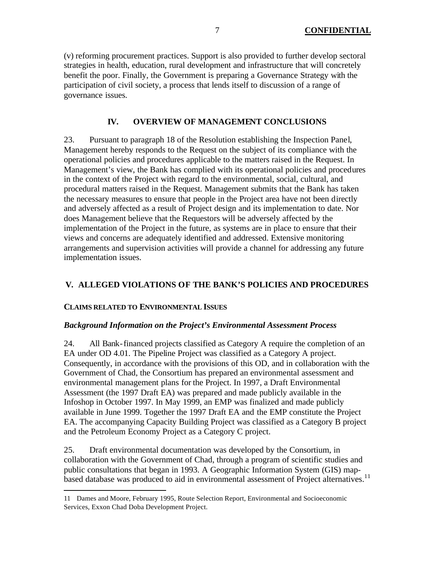(v) reforming procurement practices. Support is also provided to further develop sectoral strategies in health, education, rural development and infrastructure that will concretely benefit the poor. Finally, the Government is preparing a Governance Strategy with the participation of civil society, a process that lends itself to discussion of a range of governance issues.

# **IV. OVERVIEW OF MANAGEMENT CONCLUSIONS**

23. Pursuant to paragraph 18 of the Resolution establishing the Inspection Panel, Management hereby responds to the Request on the subject of its compliance with the operational policies and procedures applicable to the matters raised in the Request. In Management's view, the Bank has complied with its operational policies and procedures in the context of the Project with regard to the environmental, social, cultural, and procedural matters raised in the Request. Management submits that the Bank has taken the necessary measures to ensure that people in the Project area have not been directly and adversely affected as a result of Project design and its implementation to date. Nor does Management believe that the Requestors will be adversely affected by the implementation of the Project in the future, as systems are in place to ensure that their views and concerns are adequately identified and addressed. Extensive monitoring arrangements and supervision activities will provide a channel for addressing any future implementation issues.

# **V. ALLEGED VIOLATIONS OF THE BANK'S POLICIES AND PROCEDURES**

# **CLAIMS RELATED TO ENVIRONMENTAL ISSUES**

 $\overline{a}$ 

### *Background Information on the Project's Environmental Assessment Process*

24. All Bank-financed projects classified as Category A require the completion of an EA under OD 4.01. The Pipeline Project was classified as a Category A project. Consequently, in accordance with the provisions of this OD, and in collaboration with the Government of Chad, the Consortium has prepared an environmental assessment and environmental management plans for the Project. In 1997, a Draft Environmental Assessment (the 1997 Draft EA) was prepared and made publicly available in the Infoshop in October 1997. In May 1999, an EMP was finalized and made publicly available in June 1999. Together the 1997 Draft EA and the EMP constitute the Project EA. The accompanying Capacity Building Project was classified as a Category B project and the Petroleum Economy Project as a Category C project.

25. Draft environmental documentation was developed by the Consortium, in collaboration with the Government of Chad, through a program of scientific studies and public consultations that began in 1993. A Geographic Information System (GIS) mapbased database was produced to aid in environmental assessment of Project alternatives.<sup>11</sup>

<sup>11</sup> Dames and Moore, February 1995, Route Selection Report, Environmental and Socioeconomic Services, Exxon Chad Doba Development Project.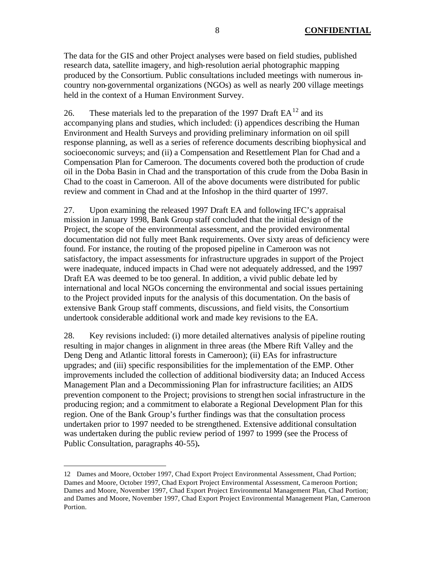The data for the GIS and other Project analyses were based on field studies, published research data, satellite imagery, and high-resolution aerial photographic mapping produced by the Consortium. Public consultations included meetings with numerous incountry non-governmental organizations (NGOs) as well as nearly 200 village meetings held in the context of a Human Environment Survey.

26. These materials led to the preparation of the 1997 Draft  $EA^{12}$  and its accompanying plans and studies, which included: (i) appendices describing the Human Environment and Health Surveys and providing preliminary information on oil spill response planning, as well as a series of reference documents describing biophysical and socioeconomic surveys; and (ii) a Compensation and Resettlement Plan for Chad and a Compensation Plan for Cameroon. The documents covered both the production of crude oil in the Doba Basin in Chad and the transportation of this crude from the Doba Basin in Chad to the coast in Cameroon. All of the above documents were distributed for public review and comment in Chad and at the Infoshop in the third quarter of 1997.

27. Upon examining the released 1997 Draft EA and following IFC's appraisal mission in January 1998, Bank Group staff concluded that the initial design of the Project, the scope of the environmental assessment, and the provided environmental documentation did not fully meet Bank requirements. Over sixty areas of deficiency were found. For instance, the routing of the proposed pipeline in Cameroon was not satisfactory, the impact assessments for infrastructure upgrades in support of the Project were inadequate, induced impacts in Chad were not adequately addressed, and the 1997 Draft EA was deemed to be too general. In addition, a vivid public debate led by international and local NGOs concerning the environmental and social issues pertaining to the Project provided inputs for the analysis of this documentation. On the basis of extensive Bank Group staff comments, discussions, and field visits, the Consortium undertook considerable additional work and made key revisions to the EA.

28. Key revisions included: (i) more detailed alternatives analysis of pipeline routing resulting in major changes in alignment in three areas (the Mbere Rift Valley and the Deng Deng and Atlantic littoral forests in Cameroon); (ii) EAs for infrastructure upgrades; and (iii) specific responsibilities for the implementation of the EMP. Other improvements included the collection of additional biodiversity data; an Induced Access Management Plan and a Decommissioning Plan for infrastructure facilities; an AIDS prevention component to the Project; provisions to strengthen social infrastructure in the producing region; and a commitment to elaborate a Regional Development Plan for this region. One of the Bank Group's further findings was that the consultation process undertaken prior to 1997 needed to be strengthened. Extensive additional consultation was undertaken during the public review period of 1997 to 1999 (see the Process of Public Consultation, paragraphs 40-55)**.** 

<sup>12</sup> Dames and Moore, October 1997, Chad Export Project Environmental Assessment, Chad Portion; Dames and Moore, October 1997, Chad Export Project Environmental Assessment, Ca meroon Portion; Dames and Moore, November 1997, Chad Export Project Environmental Management Plan, Chad Portion; and Dames and Moore, November 1997, Chad Export Project Environmental Management Plan, Cameroon Portion.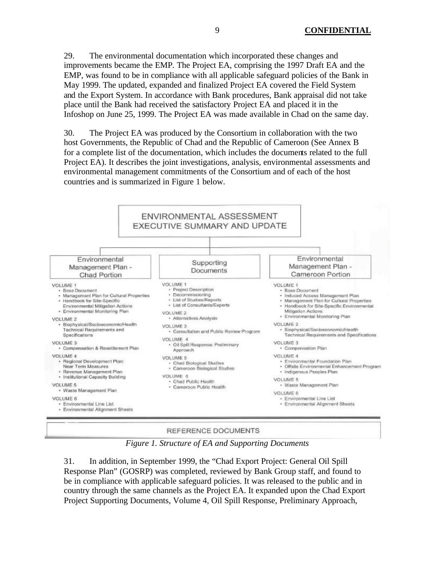29. The environmental documentation which incorporated these changes and improvements became the EMP. The Project EA, comprising the 1997 Draft EA and the EMP, was found to be in compliance with all applicable safeguard policies of the Bank in May 1999. The updated, expanded and finalized Project EA covered the Field System and the Export System. In accordance with Bank procedures, Bank appraisal did not take place until the Bank had received the satisfactory Project EA and placed it in the Infoshop on June 25, 1999. The Project EA was made available in Chad on the same day.

30. The Project EA was produced by the Consortium in collaboration with the two host Governments, the Republic of Chad and the Republic of Cameroon (See Annex B for a complete list of the documentation, which includes the documents related to the full Project EA). It describes the joint investigations, analysis, environmental assessments and environmental management commitments of the Consortium and of each of the host countries and is summarized in Figure 1 below.



REFERENCE DOCUMENTS

*Figure 1. Structure of EA and Supporting Documents*

31. In addition, in September 1999, the "Chad Export Project: General Oil Spill Response Plan" (GOSRP) was completed, reviewed by Bank Group staff, and found to be in compliance with applicable safeguard policies. It was released to the public and in country through the same channels as the Project EA. It expanded upon the Chad Export Project Supporting Documents, Volume 4, Oil Spill Response, Preliminary Approach,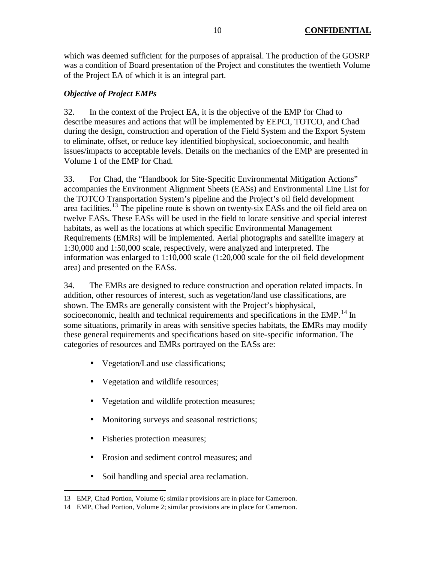which was deemed sufficient for the purposes of appraisal. The production of the GOSRP was a condition of Board presentation of the Project and constitutes the twentieth Volume of the Project EA of which it is an integral part.

# *Objective of Project EMPs*

32. In the context of the Project EA, it is the objective of the EMP for Chad to describe measures and actions that will be implemented by EEPCI, TOTCO, and Chad during the design, construction and operation of the Field System and the Export System to eliminate, offset, or reduce key identified biophysical, socioeconomic, and health issues/impacts to acceptable levels. Details on the mechanics of the EMP are presented in Volume 1 of the EMP for Chad.

33. For Chad, the "Handbook for Site-Specific Environmental Mitigation Actions" accompanies the Environment Alignment Sheets (EASs) and Environmental Line List for the TOTCO Transportation System's pipeline and the Project's oil field development area facilities.<sup>13</sup> The pipeline route is shown on twenty-six EASs and the oil field area on twelve EASs. These EASs will be used in the field to locate sensitive and special interest habitats, as well as the locations at which specific Environmental Management Requirements (EMRs) will be implemented. Aerial photographs and satellite imagery at 1:30,000 and 1:50,000 scale, respectively, were analyzed and interpreted. The information was enlarged to 1:10,000 scale (1:20,000 scale for the oil field development area) and presented on the EASs.

34. The EMRs are designed to reduce construction and operation related impacts. In addition, other resources of interest, such as vegetation/land use classifications, are shown. The EMRs are generally consistent with the Project's biophysical, socioeconomic, health and technical requirements and specifications in the EMP.<sup>14</sup> In some situations, primarily in areas with sensitive species habitats, the EMRs may modify these general requirements and specifications based on site-specific information. The categories of resources and EMRs portrayed on the EASs are:

- Vegetation/Land use classifications;
- Vegetation and wildlife resources;
- Vegetation and wildlife protection measures;
- Monitoring surveys and seasonal restrictions;
- Fisheries protection measures;

- Erosion and sediment control measures; and
- Soil handling and special area reclamation.

<sup>13</sup> EMP, Chad Portion, Volume 6; simila r provisions are in place for Cameroon.

<sup>14</sup> EMP, Chad Portion, Volume 2; similar provisions are in place for Cameroon.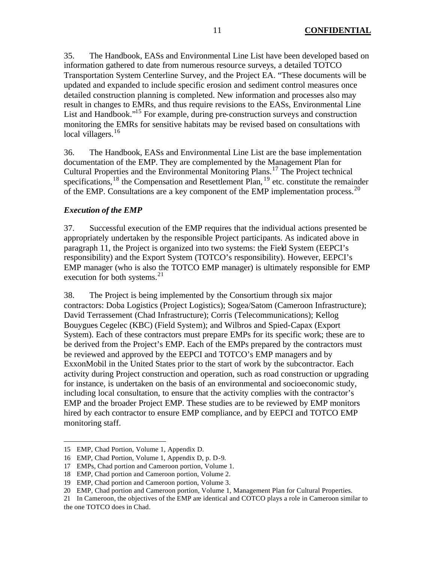35. The Handbook, EASs and Environmental Line List have been developed based on information gathered to date from numerous resource surveys, a detailed TOTCO Transportation System Centerline Survey, and the Project EA. "These documents will be updated and expanded to include specific erosion and sediment control measures once detailed construction planning is completed. New information and processes also may result in changes to EMRs, and thus require revisions to the EASs, Environmental Line List and Handbook.<sup>"15</sup> For example, during pre-construction surveys and construction monitoring the EMRs for sensitive habitats may be revised based on consultations with local villagers.<sup>16</sup>

36. The Handbook, EASs and Environmental Line List are the base implementation documentation of the EMP. They are complemented by the Management Plan for Cultural Properties and the Environmental Monitoring Plans.<sup>17</sup> The Project technical specifications,<sup>18</sup> the Compensation and Resettlement Plan,  $^{19}$  etc. constitute the remainder of the EMP. Consultations are a key component of the EMP implementation process.  $^{20}$ 

# *Execution of the EMP*

37. Successful execution of the EMP requires that the individual actions presented be appropriately undertaken by the responsible Project participants. As indicated above in paragraph 11, the Project is organized into two systems: the Field System (EEPCI's responsibility) and the Export System (TOTCO's responsibility). However, EEPCI's EMP manager (who is also the TOTCO EMP manager) is ultimately responsible for EMP execution for both systems. $21$ 

38. The Project is being implemented by the Consortium through six major contractors: Doba Logistics (Project Logistics); Sogea/Satom (Cameroon Infrastructure); David Terrassement (Chad Infrastructure); Corris (Telecommunications); Kellog Bouygues Cegelec (KBC) (Field System); and Wilbros and Spied-Capax (Export System). Each of these contractors must prepare EMPs for its specific work; these are to be derived from the Project's EMP. Each of the EMPs prepared by the contractors must be reviewed and approved by the EEPCI and TOTCO's EMP managers and by ExxonMobil in the United States prior to the start of work by the subcontractor. Each activity during Project construction and operation, such as road construction or upgrading for instance, is undertaken on the basis of an environmental and socioeconomic study, including local consultation, to ensure that the activity complies with the contractor's EMP and the broader Project EMP. These studies are to be reviewed by EMP monitors hired by each contractor to ensure EMP compliance, and by EEPCI and TOTCO EMP monitoring staff.

<sup>15</sup> EMP, Chad Portion, Volume 1, Appendix D.

<sup>16</sup> EMP, Chad Portion, Volume 1, Appendix D, p. D-9.

<sup>17</sup> EMPs, Chad portion and Cameroon portion, Volume 1.

<sup>18</sup> EMP, Chad portion and Cameroon portion, Volume 2.

<sup>19</sup> EMP, Chad portion and Cameroon portion, Volume 3.

<sup>20</sup> EMP, Chad portion and Cameroon portion, Volume 1, Management Plan for Cultural Properties.

<sup>21</sup> In Cameroon, the objectives of the EMP are identical and COTCO plays a role in Cameroon similar to the one TOTCO does in Chad.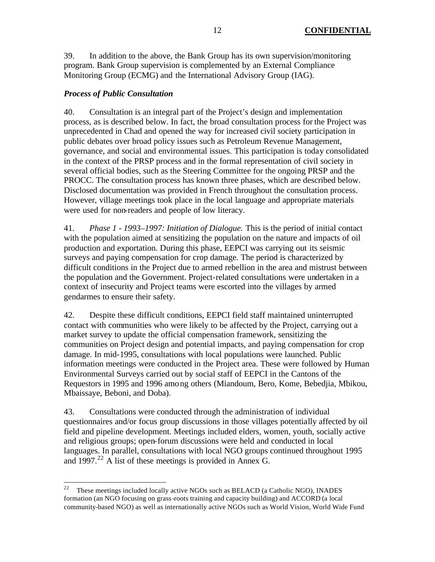39. In addition to the above, the Bank Group has its own supervision/monitoring program. Bank Group supervision is complemented by an External Compliance Monitoring Group (ECMG) and the International Advisory Group (IAG).

# *Process of Public Consultation*

40. Consultation is an integral part of the Project's design and implementation process, as is described below. In fact, the broad consultation process for the Project was unprecedented in Chad and opened the way for increased civil society participation in public debates over broad policy issues such as Petroleum Revenue Management, governance, and social and environmental issues. This participation is today consolidated in the context of the PRSP process and in the formal representation of civil society in several official bodies, such as the Steering Committee for the ongoing PRSP and the PROCC. The consultation process has known three phases, which are described below. Disclosed documentation was provided in French throughout the consultation process. However, village meetings took place in the local language and appropriate materials were used for non-readers and people of low literacy.

41. *Phase 1 - 1993–1997: Initiation of Dialogue.* This is the period of initial contact with the population aimed at sensitizing the population on the nature and impacts of oil production and exportation. During this phase, EEPCI was carrying out its seismic surveys and paying compensation for crop damage. The period is characterized by difficult conditions in the Project due to armed rebellion in the area and mistrust between the population and the Government. Project-related consultations were undertaken in a context of insecurity and Project teams were escorted into the villages by armed gendarmes to ensure their safety.

42. Despite these difficult conditions, EEPCI field staff maintained uninterrupted contact with communities who were likely to be affected by the Project, carrying out a market survey to update the official compensation framework, sensitizing the communities on Project design and potential impacts, and paying compensation for crop damage. In mid-1995, consultations with local populations were launched. Public information meetings were conducted in the Project area. These were followed by Human Environmental Surveys carried out by social staff of EEPCI in the Cantons of the Requestors in 1995 and 1996 among others (Miandoum, Bero, Kome, Bebedjia, Mbikou, Mbaissaye, Beboni, and Doba).

43. Consultations were conducted through the administration of individual questionnaires and/or focus group discussions in those villages potentially affected by oil field and pipeline development. Meetings included elders, women, youth, socially active and religious groups; open-forum discussions were held and conducted in local languages. In parallel, consultations with local NGO groups continued throughout 1995 and 1997.<sup>22</sup> A list of these meetings is provided in Annex G.

<sup>22</sup> <sup>22</sup> These meetings included locally active NGOs such as BELACD (a Catholic NGO), INADES formation (an NGO focusing on grass-roots training and capacity building) and ACCORD (a local community-based NGO) as well as internationally active NGOs such as World Vision, World Wide Fund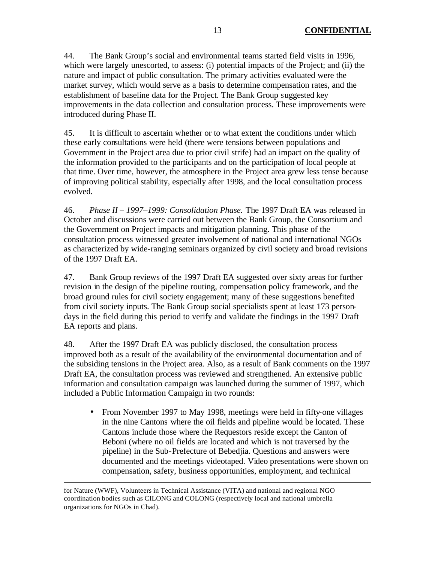44. The Bank Group's social and environmental teams started field visits in 1996, which were largely unescorted, to assess: (i) potential impacts of the Project; and (ii) the nature and impact of public consultation. The primary activities evaluated were the market survey, which would serve as a basis to determine compensation rates, and the establishment of baseline data for the Project. The Bank Group suggested key improvements in the data collection and consultation process. These improvements were introduced during Phase II.

45. It is difficult to ascertain whether or to what extent the conditions under which these early consultations were held (there were tensions between populations and Government in the Project area due to prior civil strife) had an impact on the quality of the information provided to the participants and on the participation of local people at that time. Over time, however, the atmosphere in the Project area grew less tense because of improving political stability, especially after 1998, and the local consultation process evolved.

46. *Phase II – 1997–1999: Consolidation Phase.* The 1997 Draft EA was released in October and discussions were carried out between the Bank Group, the Consortium and the Government on Project impacts and mitigation planning. This phase of the consultation process witnessed greater involvement of national and international NGOs as characterized by wide-ranging seminars organized by civil society and broad revisions of the 1997 Draft EA.

47. Bank Group reviews of the 1997 Draft EA suggested over sixty areas for further revision in the design of the pipeline routing, compensation policy framework, and the broad ground rules for civil society engagement; many of these suggestions benefited from civil society inputs. The Bank Group social specialists spent at least 173 persondays in the field during this period to verify and validate the findings in the 1997 Draft EA reports and plans.

48. After the 1997 Draft EA was publicly disclosed, the consultation process improved both as a result of the availability of the environmental documentation and of the subsiding tensions in the Project area. Also, as a result of Bank comments on the 1997 Draft EA, the consultation process was reviewed and strengthened. An extensive public information and consultation campaign was launched during the summer of 1997, which included a Public Information Campaign in two rounds:

• From November 1997 to May 1998, meetings were held in fifty-one villages in the nine Cantons where the oil fields and pipeline would be located. These Cantons include those where the Requestors reside except the Canton of Beboni (where no oil fields are located and which is not traversed by the pipeline) in the Sub-Prefecture of Bebedjia. Questions and answers were documented and the meetings videotaped. Video presentations were shown on compensation, safety, business opportunities, employment, and technical

for Nature (WWF), Volunteers in Technical Assistance (VITA) and national and regional NGO coordination bodies such as CILONG and COLONG (respectively local and national umbrella organizations for NGOs in Chad).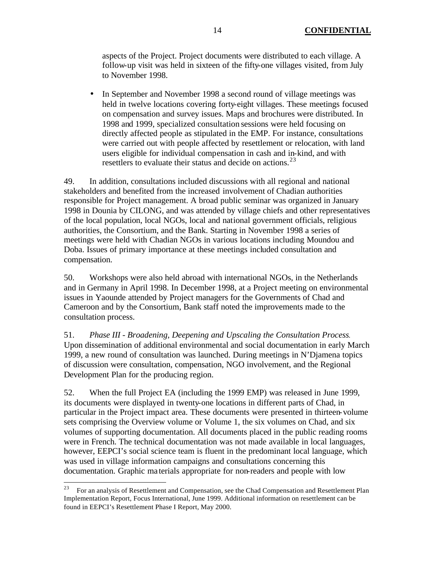aspects of the Project. Project documents were distributed to each village. A follow-up visit was held in sixteen of the fifty-one villages visited, from July to November 1998.

• In September and November 1998 a second round of village meetings was held in twelve locations covering forty-eight villages. These meetings focused on compensation and survey issues. Maps and brochures were distributed. In 1998 and 1999, specialized consultation sessions were held focusing on directly affected people as stipulated in the EMP. For instance, consultations were carried out with people affected by resettlement or relocation, with land users eligible for individual compensation in cash and in-kind, and with resettlers to evaluate their status and decide on actions.<sup>23</sup>

49. In addition, consultations included discussions with all regional and national stakeholders and benefited from the increased involvement of Chadian authorities responsible for Project management. A broad public seminar was organized in January 1998 in Dounia by CILONG, and was attended by village chiefs and other representatives of the local population, local NGOs, local and national government officials, religious authorities, the Consortium, and the Bank. Starting in November 1998 a series of meetings were held with Chadian NGOs in various locations including Moundou and Doba. Issues of primary importance at these meetings included consultation and compensation.

50. Workshops were also held abroad with international NGOs, in the Netherlands and in Germany in April 1998. In December 1998, at a Project meeting on environmental issues in Yaounde attended by Project managers for the Governments of Chad and Cameroon and by the Consortium, Bank staff noted the improvements made to the consultation process.

51. *Phase III - Broadening, Deepening and Upscaling the Consultation Process.*  Upon dissemination of additional environmental and social documentation in early March 1999, a new round of consultation was launched. During meetings in N'Djamena topics of discussion were consultation, compensation, NGO involvement, and the Regional Development Plan for the producing region.

52. When the full Project EA (including the 1999 EMP) was released in June 1999, its documents were displayed in twenty-one locations in different parts of Chad, in particular in the Project impact area. These documents were presented in thirteen-volume sets comprising the Overview volume or Volume 1, the six volumes on Chad, and six volumes of supporting documentation. All documents placed in the public reading rooms were in French. The technical documentation was not made available in local languages, however, EEPCI's social science team is fluent in the predominant local language, which was used in village information campaigns and consultations concerning this documentation. Graphic ma terials appropriate for non-readers and people with low

 $23$  For an analysis of Resettlement and Compensation, see the Chad Compensation and Resettlement Plan Implementation Report, Focus International, June 1999. Additional information on resettlement can be found in EEPCI's Resettlement Phase I Report, May 2000.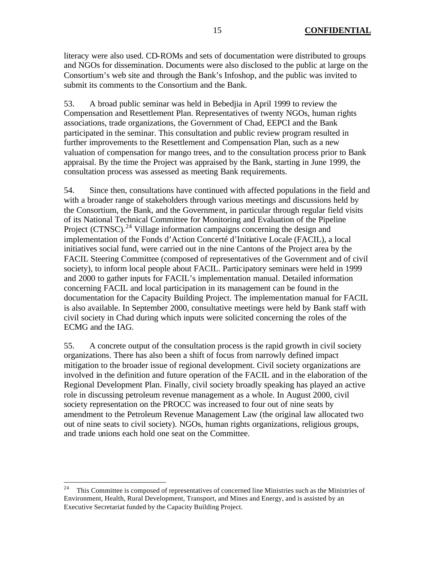literacy were also used. CD-ROMs and sets of documentation were distributed to groups and NGOs for dissemination. Documents were also disclosed to the public at large on the Consortium's web site and through the Bank's Infoshop, and the public was invited to submit its comments to the Consortium and the Bank.

53. A broad public seminar was held in Bebedjia in April 1999 to review the Compensation and Resettlement Plan. Representatives of twenty NGOs, human rights associations, trade organizations, the Government of Chad, EEPCI and the Bank participated in the seminar. This consultation and public review program resulted in further improvements to the Resettlement and Compensation Plan, such as a new valuation of compensation for mango trees, and to the consultation process prior to Bank appraisal. By the time the Project was appraised by the Bank, starting in June 1999, the consultation process was assessed as meeting Bank requirements.

54. Since then, consultations have continued with affected populations in the field and with a broader range of stakeholders through various meetings and discussions held by the Consortium, the Bank, and the Government, in particular through regular field visits of its National Technical Committee for Monitoring and Evaluation of the Pipeline Project (CTNSC).<sup>24</sup> Village information campaigns concerning the design and implementation of the Fonds d'Action Concerté d'Initiative Locale (FACIL), a local initiatives social fund, were carried out in the nine Cantons of the Project area by the FACIL Steering Committee (composed of representatives of the Government and of civil society), to inform local people about FACIL. Participatory seminars were held in 1999 and 2000 to gather inputs for FACIL's implementation manual. Detailed information concerning FACIL and local participation in its management can be found in the documentation for the Capacity Building Project. The implementation manual for FACIL is also available. In September 2000, consultative meetings were held by Bank staff with civil society in Chad during which inputs were solicited concerning the roles of the ECMG and the IAG.

55. A concrete output of the consultation process is the rapid growth in civil society organizations. There has also been a shift of focus from narrowly defined impact mitigation to the broader issue of regional development. Civil society organizations are involved in the definition and future operation of the FACIL and in the elaboration of the Regional Development Plan. Finally, civil society broadly speaking has played an active role in discussing petroleum revenue management as a whole. In August 2000, civil society representation on the PROCC was increased to four out of nine seats by amendment to the Petroleum Revenue Management Law (the original law allocated two out of nine seats to civil society). NGOs, human rights organizations, religious groups, and trade unions each hold one seat on the Committee.

<sup>24</sup> <sup>24</sup> This Committee is composed of representatives of concerned line Ministries such as the Ministries of Environment, Health, Rural Development, Transport, and Mines and Energy, and is assisted by an Executive Secretariat funded by the Capacity Building Project.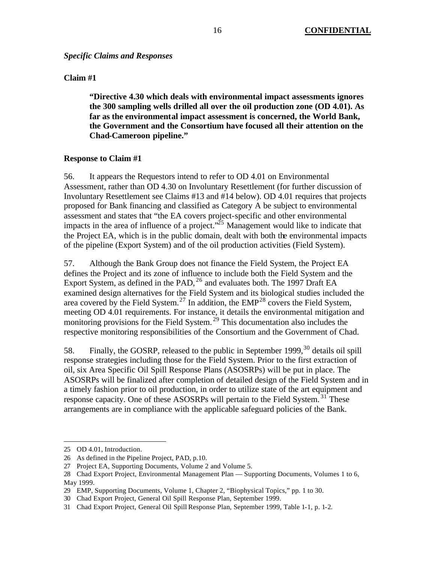*Specific Claims and Responses*

### **Claim #1**

**"Directive 4.30 which deals with environmental impact assessments ignores the 300 sampling wells drilled all over the oil production zone (OD 4.01). As far as the environmental impact assessment is concerned, the World Bank, the Government and the Consortium have focused all their attention on the Chad-Cameroon pipeline."**

## **Response to Claim #1**

56. It appears the Requestors intend to refer to OD 4.01 on Environmental Assessment, rather than OD 4.30 on Involuntary Resettlement (for further discussion of Involuntary Resettlement see Claims #13 and #14 below). OD 4.01 requires that projects proposed for Bank financing and classified as Category A be subject to environmental assessment and states that "the EA covers project-specific and other environmental impacts in the area of influence of a project.<sup> $25$ </sup> Management would like to indicate that the Project EA, which is in the public domain, dealt with both the environmental impacts of the pipeline (Export System) and of the oil production activities (Field System).

57. Although the Bank Group does not finance the Field System, the Project EA defines the Project and its zone of influence to include both the Field System and the Export System, as defined in the PAD, <sup>26</sup> and evaluates both. The 1997 Draft EA examined design alternatives for the Field System and its biological studies included the area covered by the Field System.<sup>27</sup> In addition, the EMP<sup>28</sup> covers the Field System, meeting OD 4.01 requirements. For instance, it details the environmental mitigation and monitoring provisions for the Field System. <sup>29</sup> This documentation also includes the respective monitoring responsibilities of the Consortium and the Government of Chad.

58. Finally, the GOSRP, released to the public in September 1999,<sup>30</sup> details oil spill response strategies including those for the Field System. Prior to the first extraction of oil, six Area Specific Oil Spill Response Plans (ASOSRPs) will be put in place. The ASOSRPs will be finalized after completion of detailed design of the Field System and in a timely fashion prior to oil production, in order to utilize state of the art equipment and response capacity. One of these ASOSRPs will pertain to the Field System.<sup>31</sup> These arrangements are in compliance with the applicable safeguard policies of the Bank.

<sup>25</sup> OD 4.01, Introduction.

<sup>26</sup> As defined in the Pipeline Project, PAD, p.10.

<sup>27</sup> Project EA, Supporting Documents, Volume 2 and Volume 5.

<sup>28</sup> Chad Export Project, Environmental Management Plan — Supporting Documents, Volumes 1 to 6, May 1999.

<sup>29</sup> EMP, Supporting Documents, Volume 1, Chapter 2, "Biophysical Topics," pp. 1 to 30.

<sup>30</sup> Chad Export Project, General Oil Spill Response Plan, September 1999.

<sup>31</sup> Chad Export Project, General Oil Spill Response Plan, September 1999, Table 1-1, p. 1-2.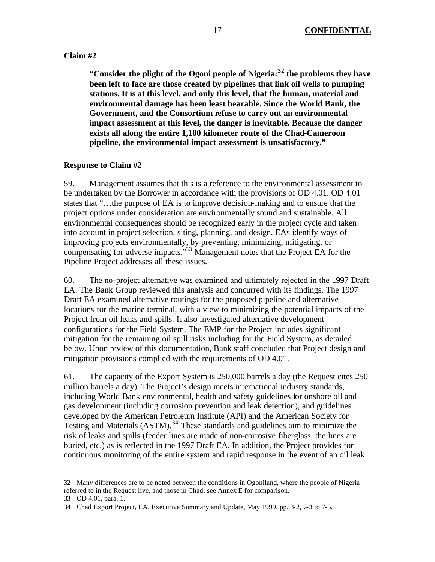### **Claim #2**

**"Consider the plight of the Ogoni people of Nigeria:<sup>32</sup> the problems they have been left to face are those created by pipelines that link oil wells to pumping stations. It is at this level, and only this level, that the human, material and environmental damage has been least bearable. Since the World Bank, the Government, and the Consortium refuse to carry out an environmental impact assessment at this level, the danger is inevitable. Because the danger exists all along the entire 1,100 kilometer route of the Chad-Cameroon pipeline, the environmental impact assessment is unsatisfactory."**

#### **Response to Claim #2**

59. Management assumes that this is a reference to the environmental assessment to be undertaken by the Borrower in accordance with the provisions of OD 4.01. OD 4.01 states that "…the purpose of EA is to improve decision-making and to ensure that the project options under consideration are environmentally sound and sustainable. All environmental consequences should be recognized early in the project cycle and taken into account in project selection, siting, planning, and design. EAs identify ways of improving projects environmentally, by preventing, minimizing, mitigating, or compensating for adverse impacts."<sup>33</sup> Management notes that the Project EA for the Pipeline Project addresses all these issues.

60. The no-project alternative was examined and ultimately rejected in the 1997 Draft EA. The Bank Group reviewed this analysis and concurred with its findings. The 1997 Draft EA examined alternative routings for the proposed pipeline and alternative locations for the marine terminal, with a view to minimizing the potential impacts of the Project from oil leaks and spills. It also investigated alternative development configurations for the Field System. The EMP for the Project includes significant mitigation for the remaining oil spill risks including for the Field System, as detailed below. Upon review of this documentation, Bank staff concluded that Project design and mitigation provisions complied with the requirements of OD 4.01.

61. The capacity of the Export System is 250,000 barrels a day (the Request cites 250 million barrels a day). The Project's design meets international industry standards, including World Bank environmental, health and safety guidelines for onshore oil and gas development (including corrosion prevention and leak detection), and guidelines developed by the American Petroleum Institute (API) and the American Society for Testing and Materials (ASTM).<sup>34</sup> These standards and guidelines aim to minimize the risk of leaks and spills (feeder lines are made of non-corrosive fiberglass, the lines are buried, etc.) as is reflected in the 1997 Draft EA. In addition, the Project provides for continuous monitoring of the entire system and rapid response in the event of an oil leak

<sup>32</sup> Many differences are to be noted between the conditions in Ogoniland, where the people of Nigeria referred to in the Request live, and those in Chad; see Annex E for comparison.

<sup>33</sup> OD 4.01, para. 1.

<sup>34</sup> Chad Export Project, EA, Executive Summary and Update, May 1999, pp. 3-2, 7-3 to 7-5.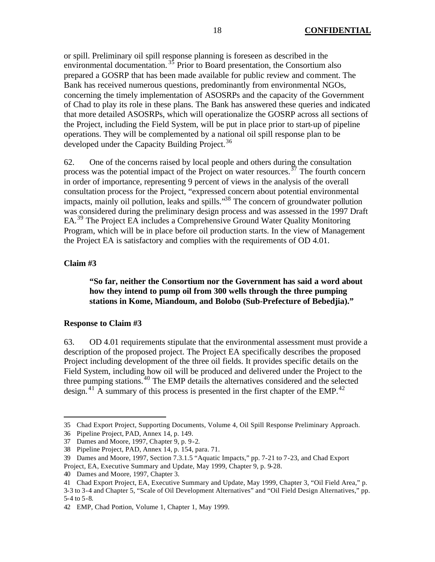or spill. Preliminary oil spill response planning is foreseen as described in the environmental documentation.  $35$  Prior to Board presentation, the Consortium also prepared a GOSRP that has been made available for public review and comment. The Bank has received numerous questions, predominantly from environmental NGOs, concerning the timely implementation of ASOSRPs and the capacity of the Government of Chad to play its role in these plans. The Bank has answered these queries and indicated that more detailed ASOSRPs, which will operationalize the GOSRP across all sections of the Project, including the Field System, will be put in place prior to start-up of pipeline operations. They will be complemented by a national oil spill response plan to be developed under the Capacity Building Project.<sup>36</sup>

62. One of the concerns raised by local people and others during the consultation process was the potential impact of the Project on water resources.<sup>37</sup> The fourth concern in order of importance, representing 9 percent of views in the analysis of the overall consultation process for the Project, "expressed concern about potential environmental impacts, mainly oil pollution, leaks and spills."<sup>38</sup> The concern of groundwater pollution was considered during the preliminary design process and was assessed in the 1997 Draft EA.<sup>39</sup> The Project EA includes a Comprehensive Ground Water Quality Monitoring Program, which will be in place before oil production starts. In the view of Management the Project EA is satisfactory and complies with the requirements of OD 4.01.

#### **Claim #3**

 $\overline{a}$ 

### **"So far, neither the Consortium nor the Government has said a word about how they intend to pump oil from 300 wells through the three pumping stations in Kome, Miandoum, and Bolobo (Sub-Prefecture of Bebedjia)."**

#### **Response to Claim #3**

63. OD 4.01 requirements stipulate that the environmental assessment must provide a description of the proposed project. The Project EA specifically describes the proposed Project including development of the three oil fields. It provides specific details on the Field System, including how oil will be produced and delivered under the Project to the three pumping stations.<sup>40</sup> The EMP details the alternatives considered and the selected design. <sup>41</sup> A summary of this process is presented in the first chapter of the EMP.<sup>42</sup>

<sup>35</sup> Chad Export Project, Supporting Documents, Volume 4, Oil Spill Response Preliminary Approach.

<sup>36</sup> Pipeline Project, PAD, Annex 14, p. 149.

<sup>37</sup> Dames and Moore, 1997, Chapter 9, p. 9-2.

<sup>38</sup> Pipeline Project, PAD, Annex 14, p. 154, para. 71.

<sup>39</sup> Dames and Moore, 1997, Section 7.3.1.5 "Aquatic Impacts," pp. 7-21 to 7-23, and Chad Export Project, EA, Executive Summary and Update, May 1999, Chapter 9, p. 9-28.

<sup>40</sup> Dames and Moore, 1997, Chapter 3.

<sup>41</sup> Chad Export Project, EA, Executive Summary and Update, May 1999, Chapter 3, "Oil Field Area," p.

<sup>3-3</sup> to 3-4 and Chapter 5, "Scale of Oil Development Alternatives" and "Oil Field Design Alternatives," pp. 5-4 to 5-8.

<sup>42</sup> EMP, Chad Portion, Volume 1, Chapter 1, May 1999.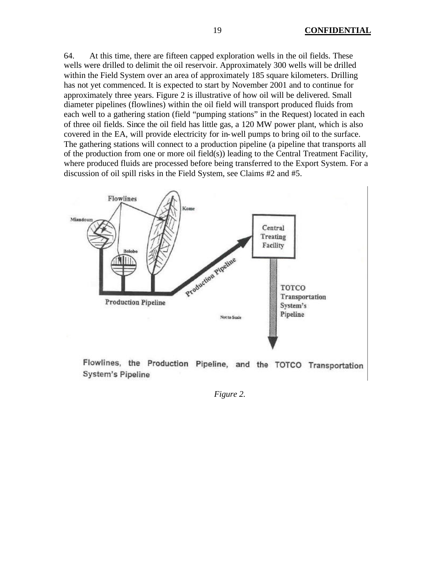64. At this time, there are fifteen capped exploration wells in the oil fields. These wells were drilled to delimit the oil reservoir. Approximately 300 wells will be drilled within the Field System over an area of approximately 185 square kilometers. Drilling has not yet commenced. It is expected to start by November 2001 and to continue for approximately three years. Figure 2 is illustrative of how oil will be delivered. Small diameter pipelines (flowlines) within the oil field will transport produced fluids from each well to a gathering station (field "pumping stations" in the Request) located in each of three oil fields. Since the oil field has little gas, a 120 MW power plant, which is also covered in the EA, will provide electricity for in-well pumps to bring oil to the surface. The gathering stations will connect to a production pipeline (a pipeline that transports all of the production from one or more oil field(s)) leading to the Central Treatment Facility, where produced fluids are processed before being transferred to the Export System. For a discussion of oil spill risks in the Field System, see Claims #2 and #5.



Flowlines, the Production Pipeline, and the TOTCO Transportation **System's Pipeline** 

*Figure 2.*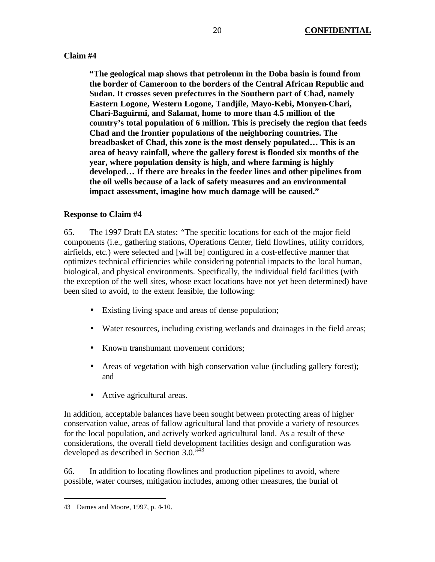## **Claim #4**

**"The geological map shows that petroleum in the Doba basin is found from the border of Cameroon to the borders of the Central African Republic and Sudan. It crosses seven prefectures in the Southern part of Chad, namely Eastern Logone, Western Logone, Tandjile, Mayo-Kebi, Monyen-Chari, Chari-Baguirmi, and Salamat, home to more than 4.5 million of the country's total population of 6 million. This is precisely the region that feeds Chad and the frontier populations of the neighboring countries. The breadbasket of Chad, this zone is the most densely populated… This is an area of heavy rainfall, where the gallery forest is flooded six months of the year, where population density is high, and where farming is highly developed… If there are breaks in the feeder lines and other pipelines from the oil wells because of a lack of safety measures and an environmental impact assessment, imagine how much damage will be caused."**

## **Response to Claim #4**

65. The 1997 Draft EA states: "The specific locations for each of the major field components (i.e., gathering stations, Operations Center, field flowlines, utility corridors, airfields, etc.) were selected and [will be] configured in a cost-effective manner that optimizes technical efficiencies while considering potential impacts to the local human, biological, and physical environments. Specifically, the individual field facilities (with the exception of the well sites, whose exact locations have not yet been determined) have been sited to avoid, to the extent feasible, the following:

- Existing living space and areas of dense population;
- Water resources, including existing wetlands and drainages in the field areas;
- Known transhumant movement corridors;
- Areas of vegetation with high conservation value (including gallery forest); and
- Active agricultural areas.

In addition, acceptable balances have been sought between protecting areas of higher conservation value, areas of fallow agricultural land that provide a variety of resources for the local population, and actively worked agricultural land. As a result of these considerations, the overall field development facilities design and configuration was developed as described in Section 3.0.<sup>\*43</sup>

66. In addition to locating flowlines and production pipelines to avoid, where possible, water courses, mitigation includes, among other measures, the burial of

<sup>43</sup> Dames and Moore, 1997, p. 4-10.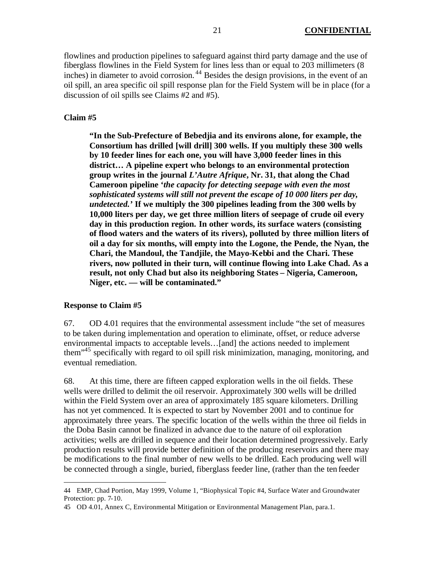flowlines and production pipelines to safeguard against third party damage and the use of fiberglass flowlines in the Field System for lines less than or equal to 203 millimeters (8 inches) in diameter to avoid corrosion. <sup>44</sup> Besides the design provisions, in the event of an oil spill, an area specific oil spill response plan for the Field System will be in place (for a discussion of oil spills see Claims #2 and #5).

#### **Claim #5**

**"In the Sub-Prefecture of Bebedjia and its environs alone, for example, the Consortium has drilled [will drill] 300 wells. If you multiply these 300 wells by 10 feeder lines for each one, you will have 3,000 feeder lines in this district… A pipeline expert who belongs to an environmental protection group writes in the journal** *L'Autre Afrique***, Nr. 31, that along the Chad Cameroon pipeline '***the capacity for detecting seepage with even the most sophisticated systems will still not prevent the escape of 10 000 liters per day, undetected.'* **If we multiply the 300 pipelines leading from the 300 wells by 10,000 liters per day, we get three million liters of seepage of crude oil every day in this production region. In other words, its surface waters (consisting of flood waters and the waters of its rivers), polluted by three million liters of oil a day for six months, will empty into the Logone, the Pende, the Nyan, the Chari, the Mandoul, the Tandjile, the Mayo-Kebbi and the Chari. These rivers, now polluted in their turn, will continue flowing into Lake Chad. As a result, not only Chad but also its neighboring States – Nigeria, Cameroon, Niger, etc. — will be contaminated."**

#### **Response to Claim #5**

 $\overline{a}$ 

67. OD 4.01 requires that the environmental assessment include "the set of measures to be taken during implementation and operation to eliminate, offset, or reduce adverse environmental impacts to acceptable levels…[and] the actions needed to implement them"<sup>45</sup> specifically with regard to oil spill risk minimization, managing, monitoring, and eventual remediation.

68. At this time, there are fifteen capped exploration wells in the oil fields. These wells were drilled to delimit the oil reservoir. Approximately 300 wells will be drilled within the Field System over an area of approximately 185 square kilometers. Drilling has not yet commenced. It is expected to start by November 2001 and to continue for approximately three years. The specific location of the wells within the three oil fields in the Doba Basin cannot be finalized in advance due to the nature of oil exploration activities; wells are drilled in sequence and their location determined progressively. Early production results will provide better definition of the producing reservoirs and there may be modifications to the final number of new wells to be drilled. Each producing well will be connected through a single, buried, fiberglass feeder line, (rather than the ten feeder

<sup>44</sup> EMP, Chad Portion, May 1999, Volume 1, "Biophysical Topic #4, Surface Water and Groundwater Protection: pp. 7-10.

<sup>45</sup> OD 4.01, Annex C, Environmental Mitigation or Environmental Management Plan, para.1.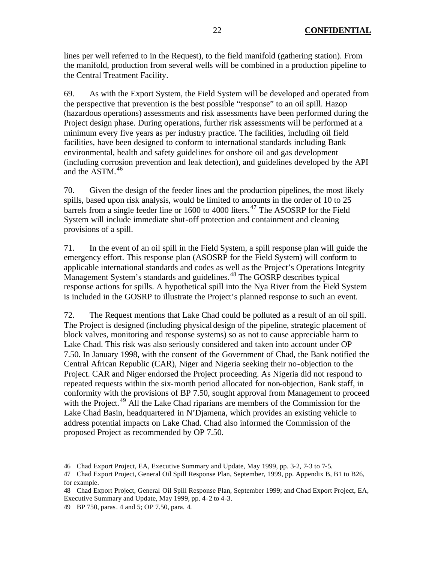lines per well referred to in the Request), to the field manifold (gathering station). From the manifold, production from several wells will be combined in a production pipeline to the Central Treatment Facility.

69. As with the Export System, the Field System will be developed and operated from the perspective that prevention is the best possible "response" to an oil spill. Hazop (hazardous operations) assessments and risk assessments have been performed during the Project design phase. During operations, further risk assessments will be performed at a minimum every five years as per industry practice. The facilities, including oil field facilities, have been designed to conform to international standards including Bank environmental, health and safety guidelines for onshore oil and gas development (including corrosion prevention and leak detection), and guidelines developed by the API and the ASTM.<sup>46</sup>

70. Given the design of the feeder lines and the production pipelines, the most likely spills, based upon risk analysis, would be limited to amounts in the order of 10 to 25 barrels from a single feeder line or 1600 to 4000 liters.<sup>47</sup> The ASOSRP for the Field System will include immediate shut-off protection and containment and cleaning provisions of a spill.

71. In the event of an oil spill in the Field System, a spill response plan will guide the emergency effort. This response plan (ASOSRP for the Field System) will conform to applicable international standards and codes as well as the Project's Operations Integrity Management System's standards and guidelines.<sup>48</sup> The GOSRP describes typical response actions for spills. A hypothetical spill into the Nya River from the Field System is included in the GOSRP to illustrate the Project's planned response to such an event.

72. The Request mentions that Lake Chad could be polluted as a result of an oil spill. The Project is designed (including physical design of the pipeline, strategic placement of block valves, monitoring and response systems) so as not to cause appreciable harm to Lake Chad. This risk was also seriously considered and taken into account under OP 7.50. In January 1998, with the consent of the Government of Chad, the Bank notified the Central African Republic (CAR), Niger and Nigeria seeking their no-objection to the Project. CAR and Niger endorsed the Project proceeding. As Nigeria did not respond to repeated requests within the six-month period allocated for non-objection, Bank staff, in conformity with the provisions of BP 7.50, sought approval from Management to proceed with the Project.<sup>49</sup> All the Lake Chad riparians are members of the Commission for the Lake Chad Basin, headquartered in N'Djamena, which provides an existing vehicle to address potential impacts on Lake Chad. Chad also informed the Commission of the proposed Project as recommended by OP 7.50.

<sup>46</sup> Chad Export Project, EA, Executive Summary and Update, May 1999, pp. 3-2, 7-3 to 7-5.

<sup>47</sup> Chad Export Project, General Oil Spill Response Plan, September, 1999, pp. Appendix B, B1 to B26, for example.

<sup>48</sup> Chad Export Project, General Oil Spill Response Plan, September 1999; and Chad Export Project, EA, Executive Summary and Update, May 1999, pp. 4-2 to 4-3.

<sup>49</sup> BP 750, paras. 4 and 5; OP 7.50, para. 4.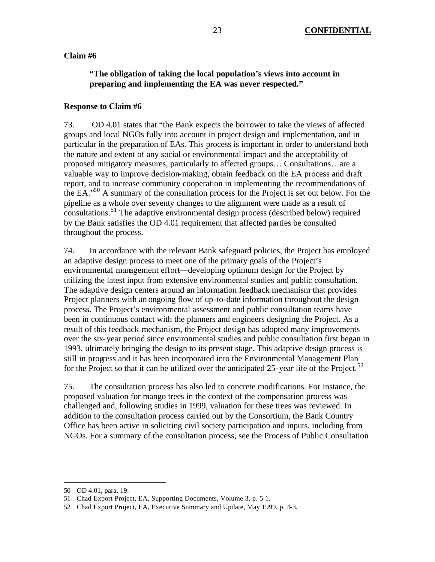#### **Claim #6**

# **"The obligation of taking the local population's views into account in preparing and implementing the EA was never respected."**

#### **Response to Claim #6**

73. OD 4.01 states that "the Bank expects the borrower to take the views of affected groups and local NGOs fully into account in project design and implementation, and in particular in the preparation of EAs. This process is important in order to understand both the nature and extent of any social or environmental impact and the acceptability of proposed mitigatory measures, particularly to affected groups… Consultations…are a valuable way to improve decision-making, obtain feedback on the EA process and draft report, and to increase community cooperation in implementing the recommendations of the EA."<sup>50</sup> A summary of the consultation process for the Project is set out below. For the pipeline as a whole over seventy changes to the alignment were made as a result of consultations.<sup>51</sup> The adaptive environmental design process (described below) required by the Bank satisfies the OD 4.01 requirement that affected parties be consulted throughout the process.

74. In accordance with the relevant Bank safeguard policies, the Project has employed an adaptive design process to meet one of the primary goals of the Project's environmental management effort—developing optimum design for the Project by utilizing the latest input from extensive environmental studies and public consultation. The adaptive design centers around an information feedback mechanism that provides Project planners with an ongoing flow of up-to-date information throughout the design process. The Project's environmental assessment and public consultation teams have been in continuous contact with the planners and engineers designing the Project. As a result of this feedback mechanism, the Project design has adopted many improvements over the six-year period since environmental studies and public consultation first began in 1993, ultimately bringing the design to its present stage. This adaptive design process is still in progress and it has been incorporated into the Environmental Management Plan for the Project so that it can be utilized over the anticipated 25-year life of the Project.<sup>52</sup>

75. The consultation process has also led to concrete modifications. For instance, the proposed valuation for mango trees in the context of the compensation process was challenged and, following studies in 1999, valuation for these trees was reviewed. In addition to the consultation process carried out by the Consortium, the Bank Country Office has been active in soliciting civil society participation and inputs, including from NGOs. For a summary of the consultation process, see the Process of Public Consultation

<sup>50</sup> OD 4.01, para. 19.

<sup>51</sup> Chad Export Project, EA, Supporting Documents, Volume 3, p. 5-1.

<sup>52</sup> Chad Export Project, EA, Executive Summary and Update, May 1999, p. 4-3.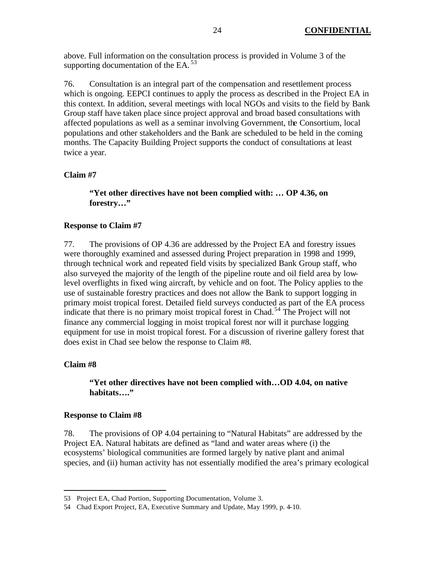above. Full information on the consultation process is provided in Volume 3 of the supporting documentation of the EA. $^{53}$ 

76. Consultation is an integral part of the compensation and resettlement process which is ongoing. EEPCI continues to apply the process as described in the Project EA in this context. In addition, several meetings with local NGOs and visits to the field by Bank Group staff have taken place since project approval and broad based consultations with affected populations as well as a seminar involving Government, the Consortium, local populations and other stakeholders and the Bank are scheduled to be held in the coming months. The Capacity Building Project supports the conduct of consultations at least twice a year.

### **Claim #7**

**"Yet other directives have not been complied with: … OP 4.36, on forestry…"**

#### **Response to Claim #7**

77. The provisions of OP 4.36 are addressed by the Project EA and forestry issues were thoroughly examined and assessed during Project preparation in 1998 and 1999, through technical work and repeated field visits by specialized Bank Group staff, who also surveyed the majority of the length of the pipeline route and oil field area by lowlevel overflights in fixed wing aircraft, by vehicle and on foot. The Policy applies to the use of sustainable forestry practices and does not allow the Bank to support logging in primary moist tropical forest. Detailed field surveys conducted as part of the EA process indicate that there is no primary moist tropical forest in Chad.<sup>54</sup> The Project will not finance any commercial logging in moist tropical forest nor will it purchase logging equipment for use in moist tropical forest. For a discussion of riverine gallery forest that does exist in Chad see below the response to Claim #8.

#### **Claim #8**

 $\overline{a}$ 

## **"Yet other directives have not been complied with…OD 4.04, on native habitats…."**

#### **Response to Claim #8**

78. The provisions of OP 4.04 pertaining to "Natural Habitats" are addressed by the Project EA. Natural habitats are defined as "land and water areas where (i) the ecosystems' biological communities are formed largely by native plant and animal species, and (ii) human activity has not essentially modified the area's primary ecological

<sup>53</sup> Project EA, Chad Portion, Supporting Documentation, Volume 3.

<sup>54</sup> Chad Export Project, EA, Executive Summary and Update, May 1999, p. 4-10.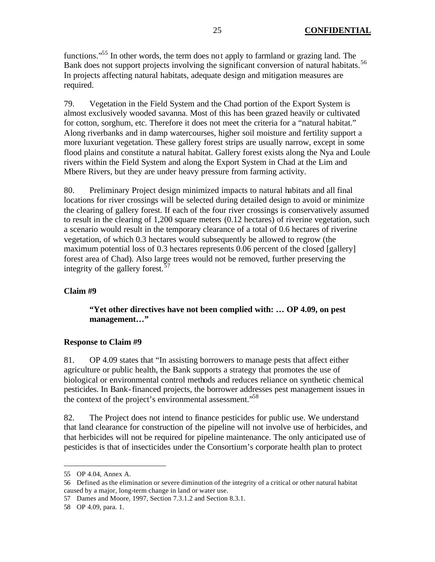functions."<sup>55</sup> In other words, the term does not apply to farmland or grazing land. The Bank does not support projects involving the significant conversion of natural habitats.<sup>56</sup> In projects affecting natural habitats, adequate design and mitigation measures are required.

79. Vegetation in the Field System and the Chad portion of the Export System is almost exclusively wooded savanna. Most of this has been grazed heavily or cultivated for cotton, sorghum, etc. Therefore it does not meet the criteria for a "natural habitat." Along riverbanks and in damp watercourses, higher soil moisture and fertility support a more luxuriant vegetation. These gallery forest strips are usually narrow, except in some flood plains and constitute a natural habitat. Gallery forest exists along the Nya and Loule rivers within the Field System and along the Export System in Chad at the Lim and Mbere Rivers, but they are under heavy pressure from farming activity.

80. Preliminary Project design minimized impacts to natural habitats and all final locations for river crossings will be selected during detailed design to avoid or minimize the clearing of gallery forest. If each of the four river crossings is conservatively assumed to result in the clearing of 1,200 square meters (0.12 hectares) of riverine vegetation, such a scenario would result in the temporary clearance of a total of 0.6 hectares of riverine vegetation, of which 0.3 hectares would subsequently be allowed to regrow (the maximum potential loss of 0.3 hectares represents 0.06 percent of the closed [gallery] forest area of Chad). Also large trees would not be removed, further preserving the integrity of the gallery forest.<sup>57</sup>

# **Claim #9**

## **"Yet other directives have not been complied with: … OP 4.09, on pest management…"**

### **Response to Claim #9**

81. OP 4.09 states that "In assisting borrowers to manage pests that affect either agriculture or public health, the Bank supports a strategy that promotes the use of biological or environmental control methods and reduces reliance on synthetic chemical pesticides. In Bank-financed projects, the borrower addresses pest management issues in the context of the project's environmental assessment.<sup>58</sup>

82. The Project does not intend to finance pesticides for public use. We understand that land clearance for construction of the pipeline will not involve use of herbicides, and that herbicides will not be required for pipeline maintenance. The only anticipated use of pesticides is that of insecticides under the Consortium's corporate health plan to protect

<sup>55</sup> OP 4.04, Annex A.

<sup>56</sup> Defined as the elimination or severe diminution of the integrity of a critical or other natural habitat caused by a major, long-term change in land or water use.

<sup>57</sup> Dames and Moore, 1997, Section 7.3.1.2 and Section 8.3.1.

<sup>58</sup> OP 4.09, para. 1.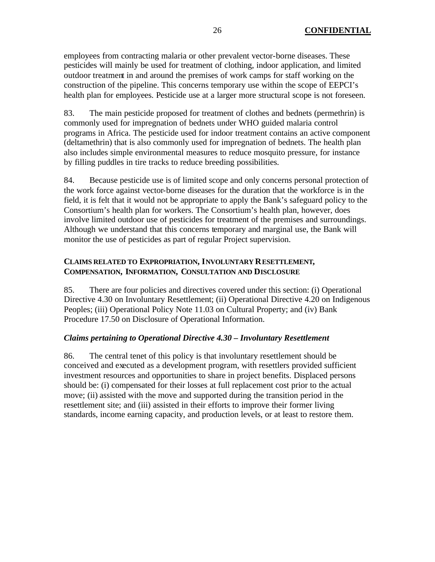employees from contracting malaria or other prevalent vector-borne diseases. These pesticides will mainly be used for treatment of clothing, indoor application, and limited outdoor treatment in and around the premises of work camps for staff working on the construction of the pipeline. This concerns temporary use within the scope of EEPCI's health plan for employees. Pesticide use at a larger more structural scope is not foreseen.

83. The main pesticide proposed for treatment of clothes and bednets (permethrin) is commonly used for impregnation of bednets under WHO guided malaria control programs in Africa. The pesticide used for indoor treatment contains an active component (deltamethrin) that is also commonly used for impregnation of bednets. The health plan also includes simple environmental measures to reduce mosquito pressure, for instance by filling puddles in tire tracks to reduce breeding possibilities.

84. Because pesticide use is of limited scope and only concerns personal protection of the work force against vector-borne diseases for the duration that the workforce is in the field, it is felt that it would not be appropriate to apply the Bank's safeguard policy to the Consortium's health plan for workers. The Consortium's health plan, however, does involve limited outdoor use of pesticides for treatment of the premises and surroundings. Although we understand that this concerns temporary and marginal use, the Bank will monitor the use of pesticides as part of regular Project supervision.

# **CLAIMS RELATED TO EXPROPRIATION, INVOLUNTARY RESETTLEMENT, COMPENSATION, INFORMATION, CONSULTATION AND DISCLOSURE**

85. There are four policies and directives covered under this section: (i) Operational Directive 4.30 on Involuntary Resettlement; (ii) Operational Directive 4.20 on Indigenous Peoples; (iii) Operational Policy Note 11.03 on Cultural Property; and (iv) Bank Procedure 17.50 on Disclosure of Operational Information.

# *Claims pertaining to Operational Directive 4.30 – Involuntary Resettlement*

86. The central tenet of this policy is that involuntary resettlement should be conceived and executed as a development program, with resettlers provided sufficient investment resources and opportunities to share in project benefits. Displaced persons should be: (i) compensated for their losses at full replacement cost prior to the actual move; (ii) assisted with the move and supported during the transition period in the resettlement site; and (iii) assisted in their efforts to improve their former living standards, income earning capacity, and production levels, or at least to restore them.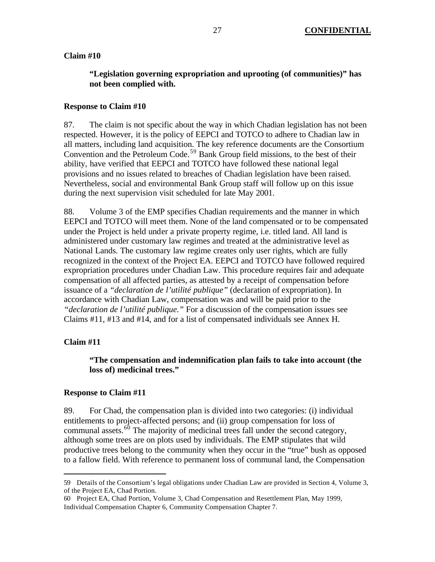#### **Claim #10**

# **"Legislation governing expropriation and uprooting (of communities)" has not been complied with.**

#### **Response to Claim #10**

87. The claim is not specific about the way in which Chadian legislation has not been respected. However, it is the policy of EEPCI and TOTCO to adhere to Chadian law in all matters, including land acquisition. The key reference documents are the Consortium Convention and the Petroleum Code.<sup>59</sup> Bank Group field missions, to the best of their ability, have verified that EEPCI and TOTCO have followed these national legal provisions and no issues related to breaches of Chadian legislation have been raised. Nevertheless, social and environmental Bank Group staff will follow up on this issue during the next supervision visit scheduled for late May 2001.

88. Volume 3 of the EMP specifies Chadian requirements and the manner in which EEPCI and TOTCO will meet them. None of the land compensated or to be compensated under the Project is held under a private property regime, i.e. titled land. All land is administered under customary law regimes and treated at the administrative level as National Lands. The customary law regime creates only user rights, which are fully recognized in the context of the Project EA. EEPCI and TOTCO have followed required expropriation procedures under Chadian Law. This procedure requires fair and adequate compensation of all affected parties, as attested by a receipt of compensation before issuance of a *"declaration de l'utilité publique"* (declaration of expropriation). In accordance with Chadian Law, compensation was and will be paid prior to the *"declaration de l'utilité publique."* For a discussion of the compensation issues see Claims #11, #13 and #14, and for a list of compensated individuals see Annex H.

#### **Claim #11**

 $\overline{a}$ 

### **"The compensation and indemnification plan fails to take into account (the loss of) medicinal trees."**

#### **Response to Claim #11**

89. For Chad, the compensation plan is divided into two categories: (i) individual entitlements to project-affected persons; and (ii) group compensation for loss of communal assets. $60$  The majority of medicinal trees fall under the second category, although some trees are on plots used by individuals. The EMP stipulates that wild productive trees belong to the community when they occur in the "true" bush as opposed to a fallow field. With reference to permanent loss of communal land, the Compensation

<sup>59</sup> Details of the Consortium's legal obligations under Chadian Law are provided in Section 4, Volume 3, of the Project EA, Chad Portion.

<sup>60</sup> Project EA, Chad Portion, Volume 3, Chad Compensation and Resettlement Plan, May 1999, Individual Compensation Chapter 6, Community Compensation Chapter 7.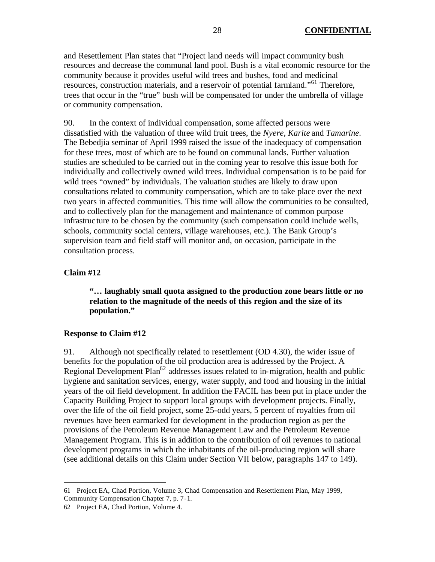and Resettlement Plan states that "Project land needs will impact community bush resources and decrease the communal land pool. Bush is a vital economic resource for the community because it provides useful wild trees and bushes, food and medicinal resources, construction materials, and a reservoir of potential farmland."<sup>61</sup> Therefore, trees that occur in the "true" bush will be compensated for under the umbrella of village or community compensation.

90. In the context of individual compensation, some affected persons were dissatisfied with the valuation of three wild fruit trees, the *Nyere, Karite* and *Tamarine*. The Bebedjia seminar of April 1999 raised the issue of the inadequacy of compensation for these trees, most of which are to be found on communal lands. Further valuation studies are scheduled to be carried out in the coming year to resolve this issue both for individually and collectively owned wild trees. Individual compensation is to be paid for wild trees "owned" by individuals. The valuation studies are likely to draw upon consultations related to community compensation, which are to take place over the next two years in affected communities. This time will allow the communities to be consulted, and to collectively plan for the management and maintenance of common purpose infrastructure to be chosen by the community (such compensation could include wells, schools, community social centers, village warehouses, etc.). The Bank Group's supervision team and field staff will monitor and, on occasion, participate in the consultation process.

### **Claim #12**

 $\overline{a}$ 

**"… laughably small quota assigned to the production zone bears little or no relation to the magnitude of the needs of this region and the size of its population."**

#### **Response to Claim #12**

91. Although not specifically related to resettlement (OD 4.30), the wider issue of benefits for the population of the oil production area is addressed by the Project. A Regional Development Plan<sup>62</sup> addresses issues related to in-migration, health and public hygiene and sanitation services, energy, water supply, and food and housing in the initial years of the oil field development. In addition the FACIL has been put in place under the Capacity Building Project to support local groups with development projects. Finally, over the life of the oil field project, some 25-odd years, 5 percent of royalties from oil revenues have been earmarked for development in the production region as per the provisions of the Petroleum Revenue Management Law and the Petroleum Revenue Management Program. This is in addition to the contribution of oil revenues to national development programs in which the inhabitants of the oil-producing region will share (see additional details on this Claim under Section VII below, paragraphs 147 to 149).

<sup>61</sup> Project EA, Chad Portion, Volume 3, Chad Compensation and Resettlement Plan, May 1999, Community Compensation Chapter 7, p. 7-1.

<sup>62</sup> Project EA, Chad Portion, Volume 4.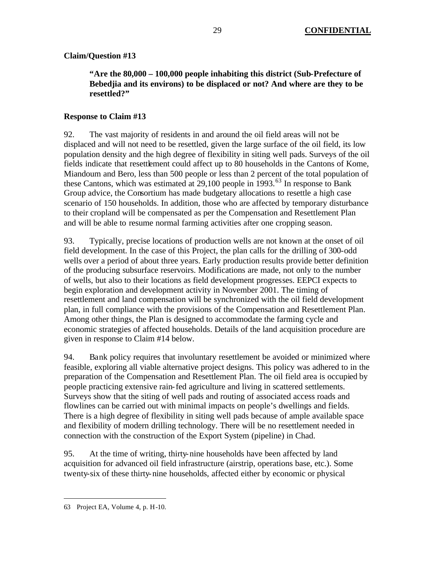# **Claim/Question #13**

# **"Are the 80,000 – 100,000 people inhabiting this district (Sub-Prefecture of Bebedjia and its environs) to be displaced or not? And where are they to be resettled?"**

# **Response to Claim #13**

92. The vast majority of residents in and around the oil field areas will not be displaced and will not need to be resettled, given the large surface of the oil field, its low population density and the high degree of flexibility in siting well pads. Surveys of the oil fields indicate that resettlement could affect up to 80 households in the Cantons of Kome, Miandoum and Bero, less than 500 people or less than 2 percent of the total population of these Cantons, which was estimated at  $29,100$  people in  $1993$ .<sup>63</sup> In response to Bank Group advice, the Consortium has made budgetary allocations to resettle a high case scenario of 150 households. In addition, those who are affected by temporary disturbance to their cropland will be compensated as per the Compensation and Resettlement Plan and will be able to resume normal farming activities after one cropping season.

93. Typically, precise locations of production wells are not known at the onset of oil field development. In the case of this Project, the plan calls for the drilling of 300-odd wells over a period of about three years. Early production results provide better definition of the producing subsurface reservoirs. Modifications are made, not only to the number of wells, but also to their locations as field development progresses. EEPCI expects to begin exploration and development activity in November 2001. The timing of resettlement and land compensation will be synchronized with the oil field development plan, in full compliance with the provisions of the Compensation and Resettlement Plan. Among other things, the Plan is designed to accommodate the farming cycle and economic strategies of affected households. Details of the land acquisition procedure are given in response to Claim #14 below.

94. Bank policy requires that involuntary resettlement be avoided or minimized where feasible, exploring all viable alternative project designs. This policy was adhered to in the preparation of the Compensation and Resettlement Plan. The oil field area is occupied by people practicing extensive rain-fed agriculture and living in scattered settlements. Surveys show that the siting of well pads and routing of associated access roads and flowlines can be carried out with minimal impacts on people's dwellings and fields. There is a high degree of flexibility in siting well pads because of ample available space and flexibility of modern drilling technology. There will be no resettlement needed in connection with the construction of the Export System (pipeline) in Chad.

95. At the time of writing, thirty-nine households have been affected by land acquisition for advanced oil field infrastructure (airstrip, operations base, etc.). Some twenty-six of these thirty-nine households, affected either by economic or physical

<sup>63</sup> Project EA, Volume 4, p. H-10.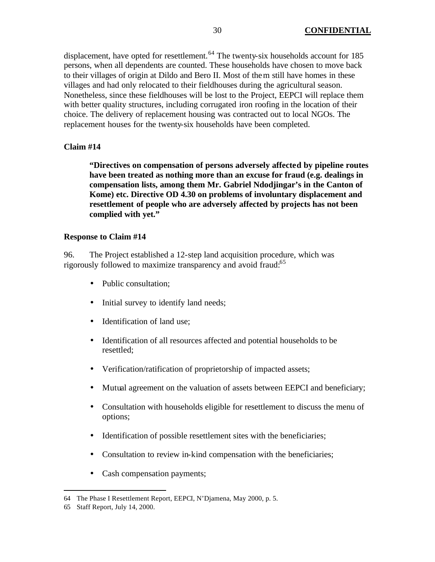displacement, have opted for resettlement.<sup>64</sup> The twenty-six households account for 185 persons, when all dependents are counted. These households have chosen to move back to their villages of origin at Dildo and Bero II. Most of them still have homes in these villages and had only relocated to their fieldhouses during the agricultural season. Nonetheless, since these fieldhouses will be lost to the Project, EEPCI will replace them with better quality structures, including corrugated iron roofing in the location of their choice. The delivery of replacement housing was contracted out to local NGOs. The replacement houses for the twenty-six households have been completed.

### **Claim #14**

**"Directives on compensation of persons adversely affected by pipeline routes have been treated as nothing more than an excuse for fraud (e.g. dealings in compensation lists, among them Mr. Gabriel Ndodjingar's in the Canton of Kome) etc. Directive OD 4.30 on problems of involuntary displacement and resettlement of people who are adversely affected by projects has not been complied with yet."** 

#### **Response to Claim #14**

96. The Project established a 12-step land acquisition procedure, which was rigorously followed to maximize transparency and avoid fraud:<sup>65</sup>

- Public consultation;
- Initial survey to identify land needs;
- Identification of land use:
- Identification of all resources affected and potential households to be resettled;
- Verification/ratification of proprietorship of impacted assets;
- Mutual agreement on the valuation of assets between EEPCI and beneficiary;
- Consultation with households eligible for resettlement to discuss the menu of options;
- Identification of possible resettlement sites with the beneficiaries;
- Consultation to review in-kind compensation with the beneficiaries;
- Cash compensation payments;

<sup>64</sup> The Phase I Resettlement Report, EEPCI, N'Djamena, May 2000, p. 5.

<sup>65</sup> Staff Report, July 14, 2000.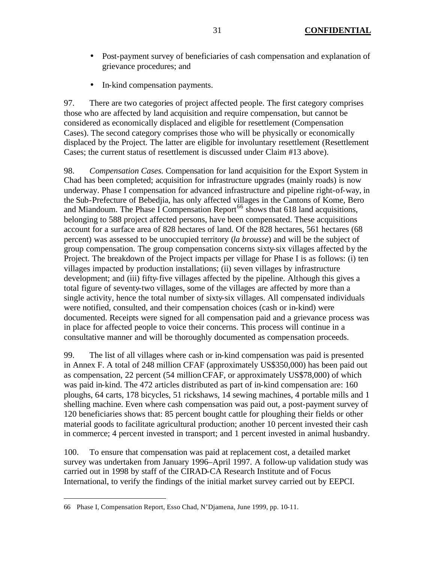- Post-payment survey of beneficiaries of cash compensation and explanation of grievance procedures; and
- In-kind compensation payments.

97. There are two categories of project affected people. The first category comprises those who are affected by land acquisition and require compensation, but cannot be considered as economically displaced and eligible for resettlement (Compensation Cases). The second category comprises those who will be physically or economically displaced by the Project. The latter are eligible for involuntary resettlement (Resettlement Cases; the current status of resettlement is discussed under Claim #13 above).

98. *Compensation Cases.* Compensation for land acquisition for the Export System in Chad has been completed; acquisition for infrastructure upgrades (mainly roads) is now underway. Phase I compensation for advanced infrastructure and pipeline right-of-way, in the Sub-Prefecture of Bebedjia, has only affected villages in the Cantons of Kome, Bero and Miandoum. The Phase I Compensation Report<sup>66</sup> shows that 618 land acquisitions, belonging to 588 project affected persons, have been compensated. These acquisitions account for a surface area of 828 hectares of land. Of the 828 hectares, 561 hectares (68 percent) was assessed to be unoccupied territory (*la brousse*) and will be the subject of group compensation. The group compensation concerns sixty-six villages affected by the Project. The breakdown of the Project impacts per village for Phase I is as follows: (i) ten villages impacted by production installations; (ii) seven villages by infrastructure development; and (iii) fifty-five villages affected by the pipeline. Although this gives a total figure of seventy-two villages, some of the villages are affected by more than a single activity, hence the total number of sixty-six villages. All compensated individuals were notified, consulted, and their compensation choices (cash or in-kind) were documented. Receipts were signed for all compensation paid and a grievance process was in place for affected people to voice their concerns. This process will continue in a consultative manner and will be thoroughly documented as compensation proceeds.

99. The list of all villages where cash or in-kind compensation was paid is presented in Annex F. A total of 248 million CFAF (approximately US\$350,000) has been paid out as compensation, 22 percent (54 million CFAF, or approximately US\$78,000) of which was paid in-kind. The 472 articles distributed as part of in-kind compensation are: 160 ploughs, 64 carts, 178 bicycles, 51 rickshaws, 14 sewing machines, 4 portable mills and 1 shelling machine. Even where cash compensation was paid out, a post-payment survey of 120 beneficiaries shows that: 85 percent bought cattle for ploughing their fields or other material goods to facilitate agricultural production; another 10 percent invested their cash in commerce; 4 percent invested in transport; and 1 percent invested in animal husbandry.

100. To ensure that compensation was paid at replacement cost, a detailed market survey was undertaken from January 1996–April 1997. A follow-up validation study was carried out in 1998 by staff of the CIRAD-CA Research Institute and of Focus International, to verify the findings of the initial market survey carried out by EEPCI.

<sup>66</sup> Phase I, Compensation Report, Esso Chad, N'Djamena, June 1999, pp. 10-11.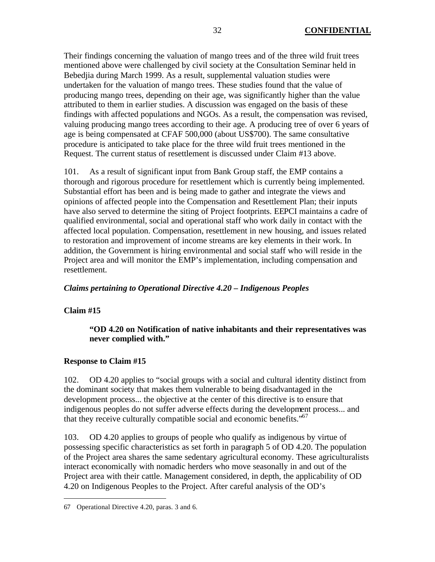Their findings concerning the valuation of mango trees and of the three wild fruit trees mentioned above were challenged by civil society at the Consultation Seminar held in Bebedjia during March 1999. As a result, supplemental valuation studies were undertaken for the valuation of mango trees. These studies found that the value of producing mango trees, depending on their age, was significantly higher than the value attributed to them in earlier studies. A discussion was engaged on the basis of these findings with affected populations and NGOs. As a result, the compensation was revised, valuing producing mango trees according to their age. A producing tree of over 6 years of age is being compensated at CFAF 500,000 (about US\$700). The same consultative procedure is anticipated to take place for the three wild fruit trees mentioned in the Request. The current status of resettlement is discussed under Claim #13 above.

101. As a result of significant input from Bank Group staff, the EMP contains a thorough and rigorous procedure for resettlement which is currently being implemented. Substantial effort has been and is being made to gather and integrate the views and opinions of affected people into the Compensation and Resettlement Plan; their inputs have also served to determine the siting of Project footprints. EEPCI maintains a cadre of qualified environmental, social and operational staff who work daily in contact with the affected local population. Compensation, resettlement in new housing, and issues related to restoration and improvement of income streams are key elements in their work. In addition, the Government is hiring environmental and social staff who will reside in the Project area and will monitor the EMP's implementation, including compensation and resettlement.

# *Claims pertaining to Operational Directive 4.20 – Indigenous Peoples*

### **Claim #15**

 $\overline{a}$ 

## **"OD 4.20 on Notification of native inhabitants and their representatives was never complied with."**

### **Response to Claim #15**

102. OD 4.20 applies to "social groups with a social and cultural identity distinct from the dominant society that makes them vulnerable to being disadvantaged in the development process... the objective at the center of this directive is to ensure that indigenous peoples do not suffer adverse effects during the development process... and that they receive culturally compatible social and economic benefits."<sup>67</sup>

103. OD 4.20 applies to groups of people who qualify as indigenous by virtue of possessing specific characteristics as set forth in paragraph 5 of OD 4.20. The population of the Project area shares the same sedentary agricultural economy. These agriculturalists interact economically with nomadic herders who move seasonally in and out of the Project area with their cattle. Management considered, in depth, the applicability of OD 4.20 on Indigenous Peoples to the Project. After careful analysis of the OD's

<sup>67</sup> Operational Directive 4.20, paras. 3 and 6.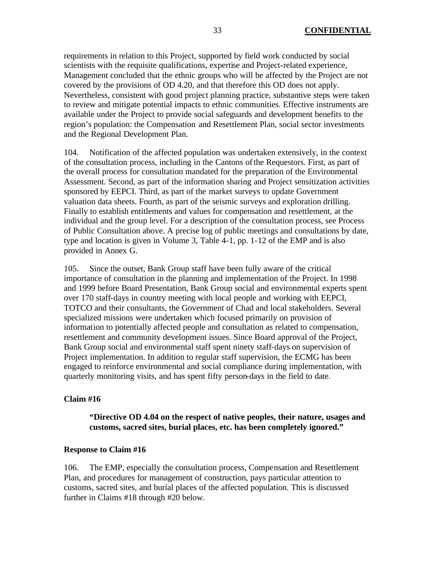requirements in relation to this Project, supported by field work conducted by social scientists with the requisite qualifications, expertise and Project-related experience, Management concluded that the ethnic groups who will be affected by the Project are not covered by the provisions of OD 4.20, and that therefore this OD does not apply. Nevertheless, consistent with good project planning practice, substantive steps were taken to review and mitigate potential impacts to ethnic communities. Effective instruments are available under the Project to provide social safeguards and development benefits to the region's population: the Compensation and Resettlement Plan, social sector investments and the Regional Development Plan.

104. Notification of the affected population was undertaken extensively, in the context of the consultation process, including in the Cantons of the Requestors. First, as part of the overall process for consultation mandated for the preparation of the Environmental Assessment. Second, as part of the information sharing and Project sensitization activities sponsored by EEPCI. Third, as part of the market surveys to update Government valuation data sheets. Fourth, as part of the seismic surveys and exploration drilling. Finally to establish entitlements and values for compensation and resettlement, at the individual and the group level. For a description of the consultation process, see Process of Public Consultation above. A precise log of public meetings and consultations by date, type and location is given in Volume 3, Table 4-1, pp. 1-12 of the EMP and is also provided in Annex G.

105. Since the outset, Bank Group staff have been fully aware of the critical importance of consultation in the planning and implementation of the Project. In 1998 and 1999 before Board Presentation, Bank Group social and environmental experts spent over 170 staff-days in country meeting with local people and working with EEPCI, TOTCO and their consultants, the Government of Chad and local stakeholders. Several specialized missions were undertaken which focused primarily on provision of information to potentially affected people and consultation as related to compensation, resettlement and community development issues. Since Board approval of the Project, Bank Group social and environmental staff spent ninety staff-days on supervision of Project implementation. In addition to regular staff supervision, the ECMG has been engaged to reinforce environmental and social compliance during implementation, with quarterly monitoring visits, and has spent fifty person-days in the field to date.

#### **Claim #16**

**"Directive OD 4.04 on the respect of native peoples, their nature, usages and customs, sacred sites, burial places, etc. has been completely ignored."**

#### **Response to Claim #16**

106. The EMP, especially the consultation process, Compensation and Resettlement Plan, and procedures for management of construction, pays particular attention to customs, sacred sites, and burial places of the affected population. This is discussed further in Claims #18 through #20 below.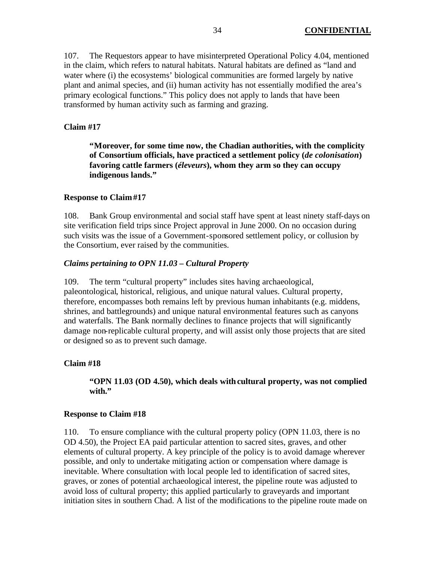107. The Requestors appear to have misinterpreted Operational Policy 4.04, mentioned in the claim, which refers to natural habitats. Natural habitats are defined as "land and water where (i) the ecosystems' biological communities are formed largely by native plant and animal species, and (ii) human activity has not essentially modified the area's primary ecological functions." This policy does not apply to lands that have been transformed by human activity such as farming and grazing.

#### **Claim #17**

**"Moreover, for some time now, the Chadian authorities, with the complicity of Consortium officials, have practiced a settlement policy (***de colonisation***) favoring cattle farmers (***éleveurs***), whom they arm so they can occupy indigenous lands."** 

#### **Response to Claim #17**

108. Bank Group environmental and social staff have spent at least ninety staff-days on site verification field trips since Project approval in June 2000. On no occasion during such visits was the issue of a Government-sponsored settlement policy, or collusion by the Consortium, ever raised by the communities.

#### *Claims pertaining to OPN 11.03 – Cultural Property*

109. The term "cultural property" includes sites having archaeological, paleontological, historical, religious, and unique natural values. Cultural property, therefore, encompasses both remains left by previous human inhabitants (e.g. middens, shrines, and battlegrounds) and unique natural environmental features such as canyons and waterfalls. The Bank normally declines to finance projects that will significantly damage non-replicable cultural property, and will assist only those projects that are sited or designed so as to prevent such damage.

#### **Claim #18**

**"OPN 11.03 (OD 4.50), which deals with cultural property, was not complied**  with."

#### **Response to Claim #18**

110. To ensure compliance with the cultural property policy (OPN 11.03, there is no OD 4.50), the Project EA paid particular attention to sacred sites, graves, and other elements of cultural property. A key principle of the policy is to avoid damage wherever possible, and only to undertake mitigating action or compensation where damage is inevitable. Where consultation with local people led to identification of sacred sites, graves, or zones of potential archaeological interest, the pipeline route was adjusted to avoid loss of cultural property; this applied particularly to graveyards and important initiation sites in southern Chad. A list of the modifications to the pipeline route made on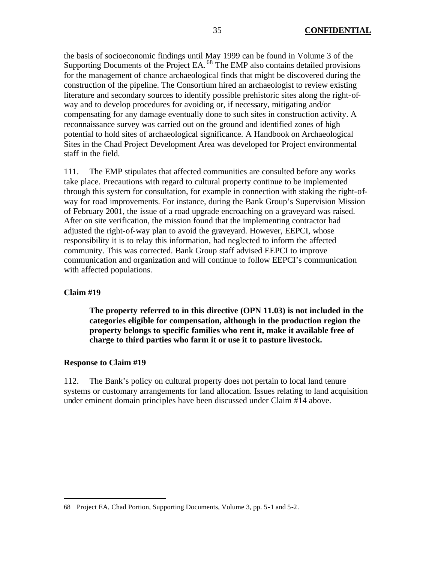the basis of socioeconomic findings until May 1999 can be found in Volume 3 of the Supporting Documents of the Project EA.<sup>68</sup> The EMP also contains detailed provisions for the management of chance archaeological finds that might be discovered during the construction of the pipeline. The Consortium hired an archaeologist to review existing literature and secondary sources to identify possible prehistoric sites along the right-ofway and to develop procedures for avoiding or, if necessary, mitigating and/or compensating for any damage eventually done to such sites in construction activity. A reconnaissance survey was carried out on the ground and identified zones of high potential to hold sites of archaeological significance. A Handbook on Archaeological Sites in the Chad Project Development Area was developed for Project environmental staff in the field.

111. The EMP stipulates that affected communities are consulted before any works take place. Precautions with regard to cultural property continue to be implemented through this system for consultation, for example in connection with staking the right-ofway for road improvements. For instance, during the Bank Group's Supervision Mission of February 2001, the issue of a road upgrade encroaching on a graveyard was raised. After on site verification, the mission found that the implementing contractor had adjusted the right-of-way plan to avoid the graveyard. However, EEPCI, whose responsibility it is to relay this information, had neglected to inform the affected community. This was corrected. Bank Group staff advised EEPCI to improve communication and organization and will continue to follow EEPCI's communication with affected populations.

#### **Claim #19**

 $\overline{a}$ 

**The property referred to in this directive (OPN 11.03) is not included in the categories eligible for compensation, although in the production region the property belongs to specific families who rent it, make it available free of charge to third parties who farm it or use it to pasture livestock.** 

#### **Response to Claim #19**

112. The Bank's policy on cultural property does not pertain to local land tenure systems or customary arrangements for land allocation. Issues relating to land acquisition under eminent domain principles have been discussed under Claim #14 above.

<sup>68</sup> Project EA, Chad Portion, Supporting Documents, Volume 3, pp. 5-1 and 5-2.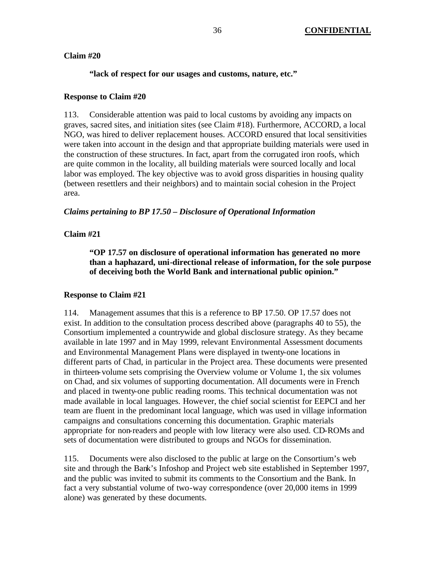### **Claim #20**

## **"lack of respect for our usages and customs, nature, etc."**

### **Response to Claim #20**

113. Considerable attention was paid to local customs by avoiding any impacts on graves, sacred sites, and initiation sites (see Claim #18). Furthermore, ACCORD, a local NGO, was hired to deliver replacement houses. ACCORD ensured that local sensitivities were taken into account in the design and that appropriate building materials were used in the construction of these structures. In fact, apart from the corrugated iron roofs, which are quite common in the locality, all building materials were sourced locally and local labor was employed. The key objective was to avoid gross disparities in housing quality (between resettlers and their neighbors) and to maintain social cohesion in the Project area.

## *Claims pertaining to BP 17.50 – Disclosure of Operational Information*

# **Claim #21**

**"OP 17.57 on disclosure of operational information has generated no more than a haphazard, uni-directional release of information, for the sole purpose of deceiving both the World Bank and international public opinion."**

### **Response to Claim #21**

114. Management assumes that this is a reference to BP 17.50. OP 17.57 does not exist. In addition to the consultation process described above (paragraphs 40 to 55), the Consortium implemented a countrywide and global disclosure strategy. As they became available in late 1997 and in May 1999, relevant Environmental Assessment documents and Environmental Management Plans were displayed in twenty-one locations in different parts of Chad, in particular in the Project area. These documents were presented in thirteen-volume sets comprising the Overview volume or Volume 1, the six volumes on Chad, and six volumes of supporting documentation. All documents were in French and placed in twenty-one public reading rooms. This technical documentation was not made available in local languages. However, the chief social scientist for EEPCI and her team are fluent in the predominant local language, which was used in village information campaigns and consultations concerning this documentation. Graphic materials appropriate for non-readers and people with low literacy were also used. CD-ROMs and sets of documentation were distributed to groups and NGOs for dissemination.

115. Documents were also disclosed to the public at large on the Consortium's web site and through the Bank's Infoshop and Project web site established in September 1997, and the public was invited to submit its comments to the Consortium and the Bank. In fact a very substantial volume of two-way correspondence (over 20,000 items in 1999 alone) was generated by these documents.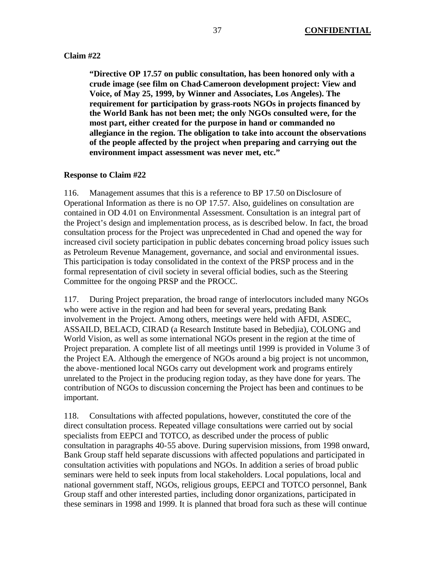#### **Claim #22**

**"Directive OP 17.57 on public consultation, has been honored only with a crude image (see film on Chad-Cameroon development project: View and Voice, of May 25, 1999, by Winner and Associates, Los Angeles). The requirement for participation by grass-roots NGOs in projects financed by the World Bank has not been met; the only NGOs consulted were, for the most part, either created for the purpose in hand or commanded no allegiance in the region. The obligation to take into account the observations of the people affected by the project when preparing and carrying out the environment impact assessment was never met, etc."** 

### **Response to Claim #22**

116. Management assumes that this is a reference to BP 17.50 on Disclosure of Operational Information as there is no OP 17.57. Also, guidelines on consultation are contained in OD 4.01 on Environmental Assessment. Consultation is an integral part of the Project's design and implementation process, as is described below. In fact, the broad consultation process for the Project was unprecedented in Chad and opened the way for increased civil society participation in public debates concerning broad policy issues such as Petroleum Revenue Management, governance, and social and environmental issues. This participation is today consolidated in the context of the PRSP process and in the formal representation of civil society in several official bodies, such as the Steering Committee for the ongoing PRSP and the PROCC.

117. During Project preparation, the broad range of interlocutors included many NGOs who were active in the region and had been for several years, predating Bank involvement in the Project. Among others, meetings were held with AFDI, ASDEC, ASSAILD, BELACD, CIRAD (a Research Institute based in Bebedjia), COLONG and World Vision, as well as some international NGOs present in the region at the time of Project preparation. A complete list of all meetings until 1999 is provided in Volume 3 of the Project EA. Although the emergence of NGOs around a big project is not uncommon, the above-mentioned local NGOs carry out development work and programs entirely unrelated to the Project in the producing region today, as they have done for years. The contribution of NGOs to discussion concerning the Project has been and continues to be important.

118. Consultations with affected populations, however, constituted the core of the direct consultation process. Repeated village consultations were carried out by social specialists from EEPCI and TOTCO, as described under the process of public consultation in paragraphs 40-55 above. During supervision missions, from 1998 onward, Bank Group staff held separate discussions with affected populations and participated in consultation activities with populations and NGOs. In addition a series of broad public seminars were held to seek inputs from local stakeholders. Local populations, local and national government staff, NGOs, religious groups, EEPCI and TOTCO personnel, Bank Group staff and other interested parties, including donor organizations, participated in these seminars in 1998 and 1999. It is planned that broad fora such as these will continue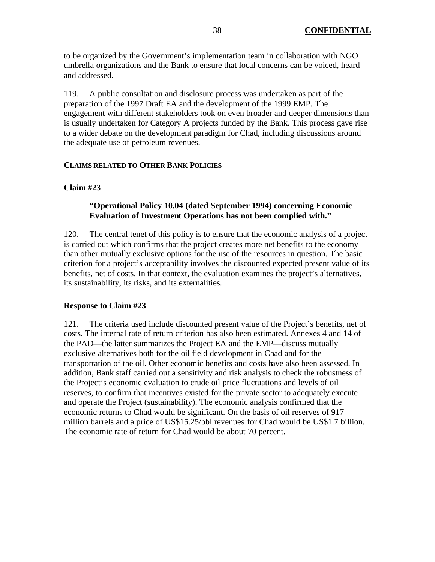to be organized by the Government's implementation team in collaboration with NGO umbrella organizations and the Bank to ensure that local concerns can be voiced, heard and addressed.

119. A public consultation and disclosure process was undertaken as part of the preparation of the 1997 Draft EA and the development of the 1999 EMP. The engagement with different stakeholders took on even broader and deeper dimensions than is usually undertaken for Category A projects funded by the Bank. This process gave rise to a wider debate on the development paradigm for Chad, including discussions around the adequate use of petroleum revenues.

### **CLAIMS RELATED TO OTHER BANK POLICIES**

# **Claim #23**

# **"Operational Policy 10.04 (dated September 1994) concerning Economic Evaluation of Investment Operations has not been complied with."**

120. The central tenet of this policy is to ensure that the economic analysis of a project is carried out which confirms that the project creates more net benefits to the economy than other mutually exclusive options for the use of the resources in question. The basic criterion for a project's acceptability involves the discounted expected present value of its benefits, net of costs. In that context, the evaluation examines the project's alternatives, its sustainability, its risks, and its externalities.

# **Response to Claim #23**

121. The criteria used include discounted present value of the Project's benefits, net of costs. The internal rate of return criterion has also been estimated. Annexes 4 and 14 of the PAD—the latter summarizes the Project EA and the EMP—discuss mutually exclusive alternatives both for the oil field development in Chad and for the transportation of the oil. Other economic benefits and costs have also been assessed. In addition, Bank staff carried out a sensitivity and risk analysis to check the robustness of the Project's economic evaluation to crude oil price fluctuations and levels of oil reserves, to confirm that incentives existed for the private sector to adequately execute and operate the Project (sustainability). The economic analysis confirmed that the economic returns to Chad would be significant. On the basis of oil reserves of 917 million barrels and a price of US\$15.25/bbl revenues for Chad would be US\$1.7 billion. The economic rate of return for Chad would be about 70 percent.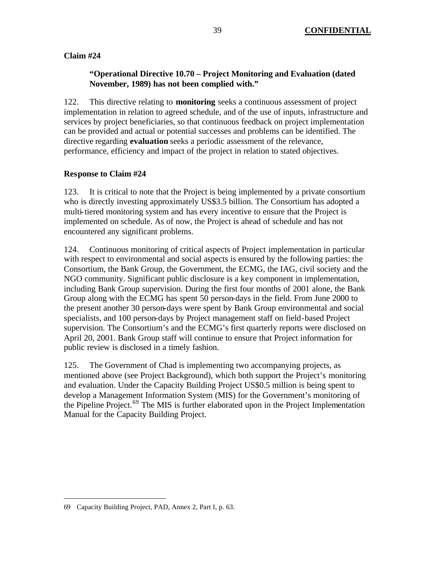# **Claim #24**

# **"Operational Directive 10.70 – Project Monitoring and Evaluation (dated November, 1989) has not been complied with."**

122. This directive relating to **monitoring** seeks a continuous assessment of project implementation in relation to agreed schedule, and of the use of inputs, infrastructure and services by project beneficiaries, so that continuous feedback on project implementation can be provided and actual or potential successes and problems can be identified. The directive regarding **evaluation** seeks a periodic assessment of the relevance, performance, efficiency and impact of the project in relation to stated objectives.

# **Response to Claim #24**

123. It is critical to note that the Project is being implemented by a private consortium who is directly investing approximately US\$3.5 billion. The Consortium has adopted a multi-tiered monitoring system and has every incentive to ensure that the Project is implemented on schedule. As of now, the Project is ahead of schedule and has not encountered any significant problems.

124. Continuous monitoring of critical aspects of Project implementation in particular with respect to environmental and social aspects is ensured by the following parties: the Consortium, the Bank Group, the Government, the ECMG, the IAG, civil society and the NGO community. Significant public disclosure is a key component in implementation, including Bank Group supervision. During the first four months of 2001 alone, the Bank Group along with the ECMG has spent 50 person-days in the field. From June 2000 to the present another 30 person-days were spent by Bank Group environmental and social specialists, and 100 person-days by Project management staff on field-based Project supervision. The Consortium's and the ECMG's first quarterly reports were disclosed on April 20, 2001. Bank Group staff will continue to ensure that Project information for public review is disclosed in a timely fashion.

125. The Government of Chad is implementing two accompanying projects, as mentioned above (see Project Background), which both support the Project's monitoring and evaluation. Under the Capacity Building Project US\$0.5 million is being spent to develop a Management Information System (MIS) for the Government's monitoring of the Pipeline Project.<sup>69</sup> The MIS is further elaborated upon in the Project Implementation Manual for the Capacity Building Project.

<sup>69</sup> Capacity Building Project, PAD, Annex 2, Part I, p. 63.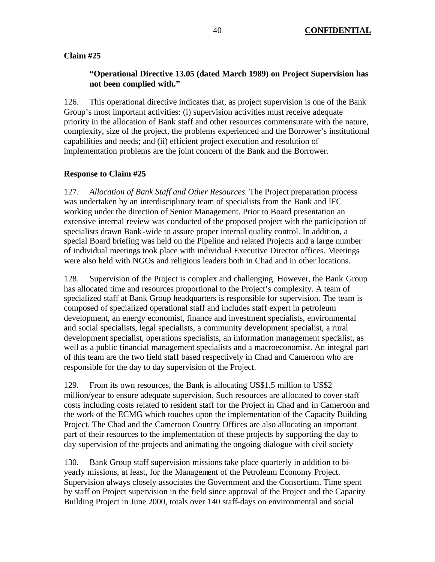### **Claim #25**

# **"Operational Directive 13.05 (dated March 1989) on Project Supervision has not been complied with."**

126. This operational directive indicates that, as project supervision is one of the Bank Group's most important activities: (i) supervision activities must receive adequate priority in the allocation of Bank staff and other resources commensurate with the nature, complexity, size of the project, the problems experienced and the Borrower's institutional capabilities and needs; and (ii) efficient project execution and resolution of implementation problems are the joint concern of the Bank and the Borrower.

## **Response to Claim #25**

127. *Allocation of Bank Staff and Other Resources.* The Project preparation process was undertaken by an interdisciplinary team of specialists from the Bank and IFC working under the direction of Senior Management. Prior to Board presentation an extensive internal review was conducted of the proposed project with the participation of specialists drawn Bank-wide to assure proper internal quality control. In addition, a special Board briefing was held on the Pipeline and related Projects and a large number of individual meetings took place with individual Executive Director offices. Meetings were also held with NGOs and religious leaders both in Chad and in other locations.

128. Supervision of the Project is complex and challenging. However, the Bank Group has allocated time and resources proportional to the Project's complexity. A team of specialized staff at Bank Group headquarters is responsible for supervision. The team is composed of specialized operational staff and includes staff expert in petroleum development, an energy economist, finance and investment specialists, environmental and social specialists, legal specialists, a community development specialist, a rural development specialist, operations specialists, an information management specialist, as well as a public financial management specialists and a macroeconomist. An integral part of this team are the two field staff based respectively in Chad and Cameroon who are responsible for the day to day supervision of the Project.

129. From its own resources, the Bank is allocating US\$1.5 million to US\$2 million/year to ensure adequate supervision. Such resources are allocated to cover staff costs including costs related to resident staff for the Project in Chad and in Cameroon and the work of the ECMG which touches upon the implementation of the Capacity Building Project. The Chad and the Cameroon Country Offices are also allocating an important part of their resources to the implementation of these projects by supporting the day to day supervision of the projects and animating the ongoing dialogue with civil society

130. Bank Group staff supervision missions take place quarterly in addition to biyearly missions, at least, for the Management of the Petroleum Economy Project. Supervision always closely associates the Government and the Consortium. Time spent by staff on Project supervision in the field since approval of the Project and the Capacity Building Project in June 2000, totals over 140 staff-days on environmental and social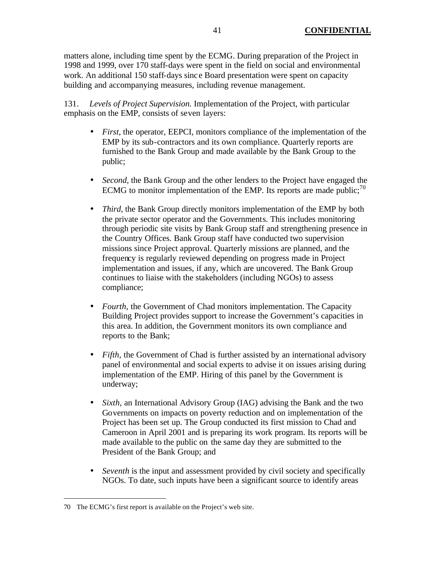matters alone, including time spent by the ECMG. During preparation of the Project in 1998 and 1999, over 170 staff-days were spent in the field on social and environmental work. An additional 150 staff-days sinc e Board presentation were spent on capacity building and accompanying measures, including revenue management.

131. *Levels of Project Supervision.* Implementation of the Project, with particular emphasis on the EMP, consists of seven layers:

- *First*, the operator, EEPCI, monitors compliance of the implementation of the EMP by its sub-contractors and its own compliance. Quarterly reports are furnished to the Bank Group and made available by the Bank Group to the public;
- *Second*, the Bank Group and the other lenders to the Project have engaged the ECMG to monitor implementation of the EMP. Its reports are made public;  $^{70}$
- *Third,* the Bank Group directly monitors implementation of the EMP by both the private sector operator and the Governments. This includes monitoring through periodic site visits by Bank Group staff and strengthening presence in the Country Offices. Bank Group staff have conducted two supervision missions since Project approval. Quarterly missions are planned, and the frequency is regularly reviewed depending on progress made in Project implementation and issues, if any, which are uncovered. The Bank Group continues to liaise with the stakeholders (including NGOs) to assess compliance;
- *Fourth*, the Government of Chad monitors implementation. The Capacity Building Project provides support to increase the Government's capacities in this area. In addition, the Government monitors its own compliance and reports to the Bank;
- *Fifth*, the Government of Chad is further assisted by an international advisory panel of environmental and social experts to advise it on issues arising during implementation of the EMP. Hiring of this panel by the Government is underway;
- *Sixth,* an International Advisory Group (IAG) advising the Bank and the two Governments on impacts on poverty reduction and on implementation of the Project has been set up. The Group conducted its first mission to Chad and Cameroon in April 2001 and is preparing its work program. Its reports will be made available to the public on the same day they are submitted to the President of the Bank Group; and
- *Seventh* is the input and assessment provided by civil society and specifically NGOs. To date, such inputs have been a significant source to identify areas

<sup>70</sup> The ECMG's first report is available on the Project's web site.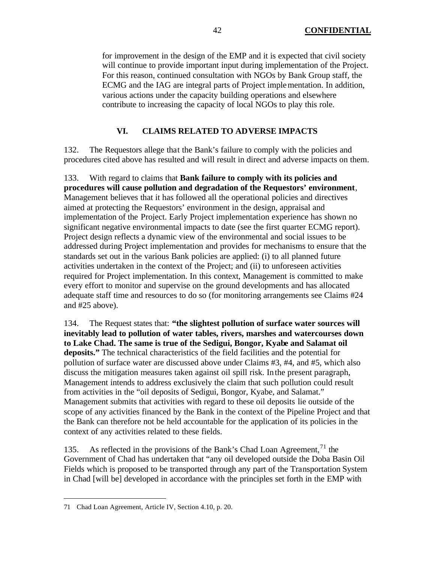for improvement in the design of the EMP and it is expected that civil society will continue to provide important input during implementation of the Project. For this reason, continued consultation with NGOs by Bank Group staff, the ECMG and the IAG are integral parts of Project implementation. In addition, various actions under the capacity building operations and elsewhere contribute to increasing the capacity of local NGOs to play this role.

# **VI. CLAIMS RELATED TO ADVERSE IMPACTS**

132. The Requestors allege that the Bank's failure to comply with the policies and procedures cited above has resulted and will result in direct and adverse impacts on them.

133. With regard to claims that **Bank failure to comply with its policies and procedures will cause pollution and degradation of the Requestors' environment**, Management believes that it has followed all the operational policies and directives aimed at protecting the Requestors' environment in the design, appraisal and implementation of the Project. Early Project implementation experience has shown no significant negative environmental impacts to date (see the first quarter ECMG report). Project design reflects a dynamic view of the environmental and social issues to be addressed during Project implementation and provides for mechanisms to ensure that the standards set out in the various Bank policies are applied: (i) to all planned future activities undertaken in the context of the Project; and (ii) to unforeseen activities required for Project implementation. In this context, Management is committed to make every effort to monitor and supervise on the ground developments and has allocated adequate staff time and resources to do so (for monitoring arrangements see Claims #24 and #25 above).

134. The Request states that: **"the slightest pollution of surface water sources will inevitably lead to pollution of water tables, rivers, marshes and watercourses down to Lake Chad. The same is true of the Sedigui, Bongor, Kyabe and Salamat oil deposits."** The technical characteristics of the field facilities and the potential for pollution of surface water are discussed above under Claims #3, #4, and #5, which also discuss the mitigation measures taken against oil spill risk. In the present paragraph, Management intends to address exclusively the claim that such pollution could result from activities in the "oil deposits of Sedigui, Bongor, Kyabe, and Salamat." Management submits that activities with regard to these oil deposits lie outside of the scope of any activities financed by the Bank in the context of the Pipeline Project and that the Bank can therefore not be held accountable for the application of its policies in the context of any activities related to these fields.

135. As reflected in the provisions of the Bank's Chad Loan Agreement,  $^{71}$  the Government of Chad has undertaken that "any oil developed outside the Doba Basin Oil Fields which is proposed to be transported through any part of the Transportation System in Chad [will be] developed in accordance with the principles set forth in the EMP with

<sup>71</sup> Chad Loan Agreement, Article IV, Section 4.10, p. 20.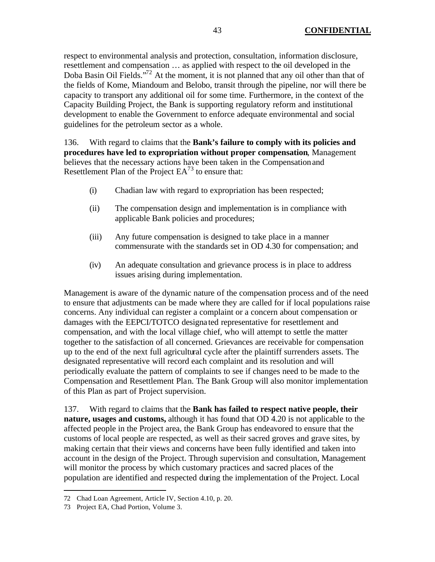respect to environmental analysis and protection, consultation, information disclosure, resettlement and compensation … as applied with respect to the oil developed in the Doba Basin Oil Fields."<sup>72</sup> At the moment, it is not planned that any oil other than that of the fields of Kome, Miandoum and Belobo, transit through the pipeline, nor will there be capacity to transport any additional oil for some time. Furthermore, in the context of the Capacity Building Project, the Bank is supporting regulatory reform and institutional development to enable the Government to enforce adequate environmental and social guidelines for the petroleum sector as a whole.

136. With regard to claims that the **Bank's failure to comply with its policies and procedures have led to expropriation without proper compensation**, Management believes that the necessary actions have been taken in the Compensation and Resettlement Plan of the Project  $EA^{73}$  to ensure that:

- (i) Chadian law with regard to expropriation has been respected;
- (ii) The compensation design and implementation is in compliance with applicable Bank policies and procedures;
- (iii) Any future compensation is designed to take place in a manner commensurate with the standards set in OD 4.30 for compensation; and
- (iv) An adequate consultation and grievance process is in place to address issues arising during implementation.

Management is aware of the dynamic nature of the compensation process and of the need to ensure that adjustments can be made where they are called for if local populations raise concerns. Any individual can register a complaint or a concern about compensation or damages with the EEPCI/TOTCO designa ted representative for resettlement and compensation, and with the local village chief, who will attempt to settle the matter together to the satisfaction of all concerned. Grievances are receivable for compensation up to the end of the next full agricultural cycle after the plaintiff surrenders assets. The designated representative will record each complaint and its resolution and will periodically evaluate the pattern of complaints to see if changes need to be made to the Compensation and Resettlement Plan. The Bank Group will also monitor implementation of this Plan as part of Project supervision.

137. With regard to claims that the **Bank has failed to respect native people, their nature, usages and customs,** although it has found that OD 4.20 is not applicable to the affected people in the Project area, the Bank Group has endeavored to ensure that the customs of local people are respected, as well as their sacred groves and grave sites, by making certain that their views and concerns have been fully identified and taken into account in the design of the Project. Through supervision and consultation, Management will monitor the process by which customary practices and sacred places of the population are identified and respected during the implementation of the Project. Local

<sup>72</sup> Chad Loan Agreement, Article IV, Section 4.10, p. 20.

<sup>73</sup> Project EA, Chad Portion, Volume 3.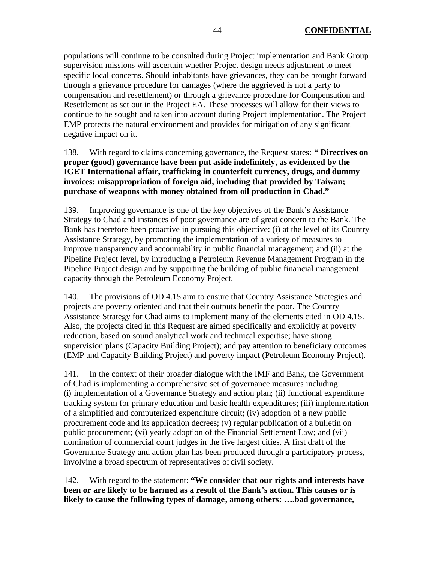populations will continue to be consulted during Project implementation and Bank Group supervision missions will ascertain whether Project design needs adjustment to meet specific local concerns. Should inhabitants have grievances, they can be brought forward through a grievance procedure for damages (where the aggrieved is not a party to compensation and resettlement) or through a grievance procedure for Compensation and Resettlement as set out in the Project EA. These processes will allow for their views to continue to be sought and taken into account during Project implementation. The Project EMP protects the natural environment and provides for mitigation of any significant negative impact on it.

138. With regard to claims concerning governance, the Request states: **" Directives on proper (good) governance have been put aside indefinitely, as evidenced by the IGET International affair, trafficking in counterfeit currency, drugs, and dummy invoices; misappropriation of foreign aid, including that provided by Taiwan; purchase of weapons with money obtained from oil production in Chad."**

139. Improving governance is one of the key objectives of the Bank's Assistance Strategy to Chad and instances of poor governance are of great concern to the Bank. The Bank has therefore been proactive in pursuing this objective: (i) at the level of its Country Assistance Strategy, by promoting the implementation of a variety of measures to improve transparency and accountability in public financial management; and (ii) at the Pipeline Project level, by introducing a Petroleum Revenue Management Program in the Pipeline Project design and by supporting the building of public financial management capacity through the Petroleum Economy Project.

140. The provisions of OD 4.15 aim to ensure that Country Assistance Strategies and projects are poverty oriented and that their outputs benefit the poor. The Country Assistance Strategy for Chad aims to implement many of the elements cited in OD 4.15. Also, the projects cited in this Request are aimed specifically and explicitly at poverty reduction, based on sound analytical work and technical expertise; have strong supervision plans (Capacity Building Project); and pay attention to beneficiary outcomes (EMP and Capacity Building Project) and poverty impact (Petroleum Economy Project).

141. In the context of their broader dialogue with the IMF and Bank, the Government of Chad is implementing a comprehensive set of governance measures including: (i) implementation of a Governance Strategy and action plan; (ii) functional expenditure tracking system for primary education and basic health expenditures; (iii) implementation of a simplified and computerized expenditure circuit; (iv) adoption of a new public procurement code and its application decrees; (v) regular publication of a bulletin on public procurement; (vi) yearly adoption of the Financial Settlement Law; and (vii) nomination of commercial court judges in the five largest cities. A first draft of the Governance Strategy and action plan has been produced through a participatory process, involving a broad spectrum of representatives of civil society.

142. With regard to the statement: **"We consider that our rights and interests have been or are likely to be harmed as a result of the Bank's action. This causes or is likely to cause the following types of damage, among others: ….bad governance,**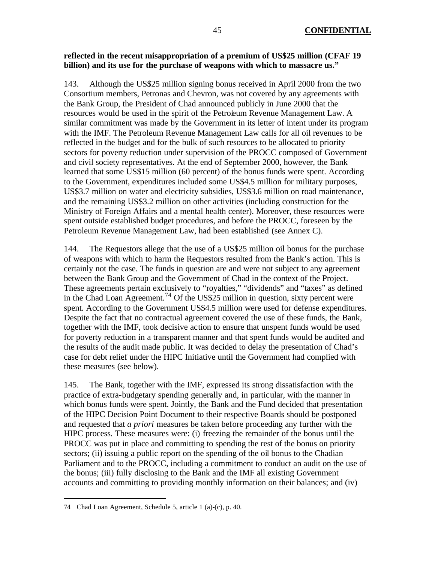### **reflected in the recent misappropriation of a premium of US\$25 million (CFAF 19 billion) and its use for the purchase of weapons with which to massacre us."**

143. Although the US\$25 million signing bonus received in April 2000 from the two Consortium members, Petronas and Chevron, was not covered by any agreements with the Bank Group, the President of Chad announced publicly in June 2000 that the resources would be used in the spirit of the Petroleum Revenue Management Law. A similar commitment was made by the Government in its letter of intent under its program with the IMF. The Petroleum Revenue Management Law calls for all oil revenues to be reflected in the budget and for the bulk of such resources to be allocated to priority sectors for poverty reduction under supervision of the PROCC composed of Government and civil society representatives. At the end of September 2000, however, the Bank learned that some US\$15 million (60 percent) of the bonus funds were spent. According to the Government, expenditures included some US\$4.5 million for military purposes, US\$3.7 million on water and electricity subsidies, US\$3.6 million on road maintenance, and the remaining US\$3.2 million on other activities (including construction for the Ministry of Foreign Affairs and a mental health center). Moreover, these resources were spent outside established budget procedures, and before the PROCC, foreseen by the Petroleum Revenue Management Law, had been established (see Annex C).

144. The Requestors allege that the use of a US\$25 million oil bonus for the purchase of weapons with which to harm the Requestors resulted from the Bank's action. This is certainly not the case. The funds in question are and were not subject to any agreement between the Bank Group and the Government of Chad in the context of the Project. These agreements pertain exclusively to "royalties," "dividends" and "taxes" as defined in the Chad Loan Agreement.<sup>74</sup> Of the US\$25 million in question, sixty percent were spent. According to the Government US\$4.5 million were used for defense expenditures. Despite the fact that no contractual agreement covered the use of these funds, the Bank, together with the IMF, took decisive action to ensure that unspent funds would be used for poverty reduction in a transparent manner and that spent funds would be audited and the results of the audit made public. It was decided to delay the presentation of Chad's case for debt relief under the HIPC Initiative until the Government had complied with these measures (see below).

145. The Bank, together with the IMF, expressed its strong dissatisfaction with the practice of extra-budgetary spending generally and, in particular, with the manner in which bonus funds were spent. Jointly, the Bank and the Fund decided that presentation of the HIPC Decision Point Document to their respective Boards should be postponed and requested that *a priori* measures be taken before proceeding any further with the HIPC process. These measures were: (i) freezing the remainder of the bonus until the PROCC was put in place and committing to spending the rest of the bonus on priority sectors; (ii) issuing a public report on the spending of the oil bonus to the Chadian Parliament and to the PROCC, including a commitment to conduct an audit on the use of the bonus; (iii) fully disclosing to the Bank and the IMF all existing Government accounts and committing to providing monthly information on their balances; and (iv)

<sup>74</sup> Chad Loan Agreement, Schedule 5, article 1 (a)-(c), p. 40.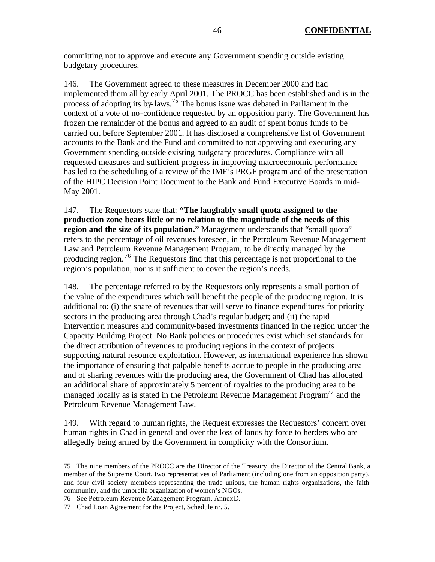committing not to approve and execute any Government spending outside existing budgetary procedures.

146. The Government agreed to these measures in December 2000 and had implemented them all by early April 2001. The PROCC has been established and is in the process of adopting its by-laws.<sup>75</sup> The bonus issue was debated in Parliament in the context of a vote of no-confidence requested by an opposition party. The Government has frozen the remainder of the bonus and agreed to an audit of spent bonus funds to be carried out before September 2001. It has disclosed a comprehensive list of Government accounts to the Bank and the Fund and committed to not approving and executing any Government spending outside existing budgetary procedures. Compliance with all requested measures and sufficient progress in improving macroeconomic performance has led to the scheduling of a review of the IMF's PRGF program and of the presentation of the HIPC Decision Point Document to the Bank and Fund Executive Boards in mid-May 2001.

147. The Requestors state that: **"The laughably small quota assigned to the production zone bears little or no relation to the magnitude of the needs of this region and the size of its population."** Management understands that "small quota" refers to the percentage of oil revenues foreseen, in the Petroleum Revenue Management Law and Petroleum Revenue Management Program, to be directly managed by the producing region. <sup>76</sup> The Requestors find that this percentage is not proportional to the region's population, nor is it sufficient to cover the region's needs.

148. The percentage referred to by the Requestors only represents a small portion of the value of the expenditures which will benefit the people of the producing region. It is additional to: (i) the share of revenues that will serve to finance expenditures for priority sectors in the producing area through Chad's regular budget; and (ii) the rapid intervention measures and community-based investments financed in the region under the Capacity Building Project. No Bank policies or procedures exist which set standards for the direct attribution of revenues to producing regions in the context of projects supporting natural resource exploitation. However, as international experience has shown the importance of ensuring that palpable benefits accrue to people in the producing area and of sharing revenues with the producing area, the Government of Chad has allocated an additional share of approximately 5 percent of royalties to the producing area to be managed locally as is stated in the Petroleum Revenue Management Program<sup>77</sup> and the Petroleum Revenue Management Law.

149. With regard to human rights, the Request expresses the Requestors' concern over human rights in Chad in general and over the loss of lands by force to herders who are allegedly being armed by the Government in complicity with the Consortium.

<sup>75</sup> The nine members of the PROCC are the Director of the Treasury, the Director of the Central Bank, a member of the Supreme Court, two representatives of Parliament (including one from an opposition party), and four civil society members representing the trade unions, the human rights organizations, the faith community, and the umbrella organization of women's NGOs.

<sup>76</sup> See Petroleum Revenue Management Program, Annex D.

<sup>77</sup> Chad Loan Agreement for the Project, Schedule nr. 5.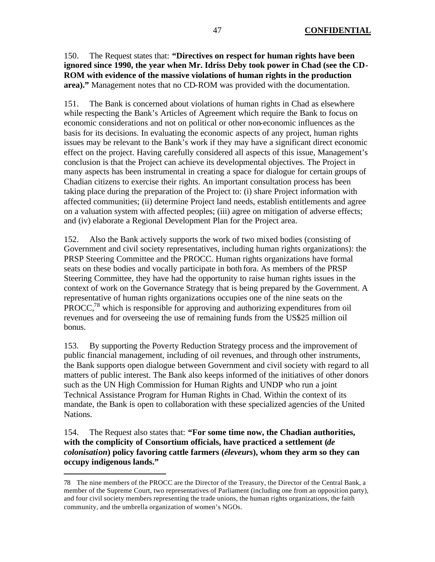# 150. The Request states that: **"Directives on respect for human rights have been ignored since 1990, the year when Mr. Idriss Deby took power in Chad (see the CD-ROM with evidence of the massive violations of human rights in the production area)."** Management notes that no CD-ROM was provided with the documentation.

151. The Bank is concerned about violations of human rights in Chad as elsewhere while respecting the Bank's Articles of Agreement which require the Bank to focus on economic considerations and not on political or other non-economic influences as the basis for its decisions. In evaluating the economic aspects of any project, human rights issues may be relevant to the Bank's work if they may have a significant direct economic effect on the project. Having carefully considered all aspects of this issue, Management's conclusion is that the Project can achieve its developmental objectives. The Project in many aspects has been instrumental in creating a space for dialogue for certain groups of Chadian citizens to exercise their rights. An important consultation process has been taking place during the preparation of the Project to: (i) share Project information with affected communities; (ii) determine Project land needs, establish entitlements and agree on a valuation system with affected peoples; (iii) agree on mitigation of adverse effects; and (iv) elaborate a Regional Development Plan for the Project area.

152. Also the Bank actively supports the work of two mixed bodies (consisting of Government and civil society representatives, including human rights organizations): the PRSP Steering Committee and the PROCC. Human rights organizations have formal seats on these bodies and vocally participate in both fora. As members of the PRSP Steering Committee, they have had the opportunity to raise human rights issues in the context of work on the Governance Strategy that is being prepared by the Government. A representative of human rights organizations occupies one of the nine seats on the PROCC,<sup>78</sup> which is responsible for approving and authorizing expenditures from oil revenues and for overseeing the use of remaining funds from the US\$25 million oil bonus.

153. By supporting the Poverty Reduction Strategy process and the improvement of public financial management, including of oil revenues, and through other instruments, the Bank supports open dialogue between Government and civil society with regard to all matters of public interest. The Bank also keeps informed of the initiatives of other donors such as the UN High Commission for Human Rights and UNDP who run a joint Technical Assistance Program for Human Rights in Chad. Within the context of its mandate, the Bank is open to collaboration with these specialized agencies of the United Nations.

154. The Request also states that: **"For some time now, the Chadian authorities, with the complicity of Consortium officials, have practiced a settlement (***de colonisation***) policy favoring cattle farmers (***éleveurs***), whom they arm so they can occupy indigenous lands."**

<sup>78</sup> The nine members of the PROCC are the Director of the Treasury, the Director of the Central Bank, a member of the Supreme Court, two representatives of Parliament (including one from an opposition party), and four civil society members representing the trade unions, the human rights organizations, the faith community, and the umbrella organization of women's NGOs.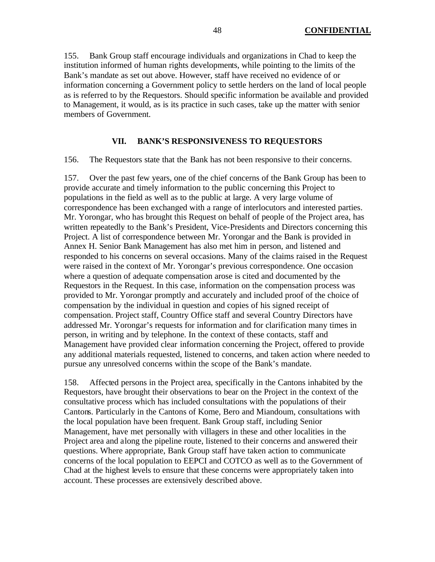155. Bank Group staff encourage individuals and organizations in Chad to keep the institution informed of human rights developments, while pointing to the limits of the Bank's mandate as set out above. However, staff have received no evidence of or information concerning a Government policy to settle herders on the land of local people as is referred to by the Requestors. Should specific information be available and provided to Management, it would, as is its practice in such cases, take up the matter with senior members of Government.

#### **VII. BANK'S RESPONSIVENESS TO REQUESTORS**

156. The Requestors state that the Bank has not been responsive to their concerns.

157. Over the past few years, one of the chief concerns of the Bank Group has been to provide accurate and timely information to the public concerning this Project to populations in the field as well as to the public at large. A very large volume of correspondence has been exchanged with a range of interlocutors and interested parties. Mr. Yorongar, who has brought this Request on behalf of people of the Project area, has written repeatedly to the Bank's President, Vice-Presidents and Directors concerning this Project. A list of correspondence between Mr. Yorongar and the Bank is provided in Annex H. Senior Bank Management has also met him in person, and listened and responded to his concerns on several occasions. Many of the claims raised in the Request were raised in the context of Mr. Yorongar's previous correspondence. One occasion where a question of adequate compensation arose is cited and documented by the Requestors in the Request. In this case, information on the compensation process was provided to Mr. Yorongar promptly and accurately and included proof of the choice of compensation by the individual in question and copies of his signed receipt of compensation. Project staff, Country Office staff and several Country Directors have addressed Mr. Yorongar's requests for information and for clarification many times in person, in writing and by telephone. In the context of these contacts, staff and Management have provided clear information concerning the Project, offered to provide any additional materials requested, listened to concerns, and taken action where needed to pursue any unresolved concerns within the scope of the Bank's mandate.

158. Affected persons in the Project area, specifically in the Cantons inhabited by the Requestors, have brought their observations to bear on the Project in the context of the consultative process which has included consultations with the populations of their Cantons. Particularly in the Cantons of Kome, Bero and Miandoum, consultations with the local population have been frequent. Bank Group staff, including Senior Management, have met personally with villagers in these and other localities in the Project area and along the pipeline route, listened to their concerns and answered their questions. Where appropriate, Bank Group staff have taken action to communicate concerns of the local population to EEPCI and COTCO as well as to the Government of Chad at the highest levels to ensure that these concerns were appropriately taken into account. These processes are extensively described above.